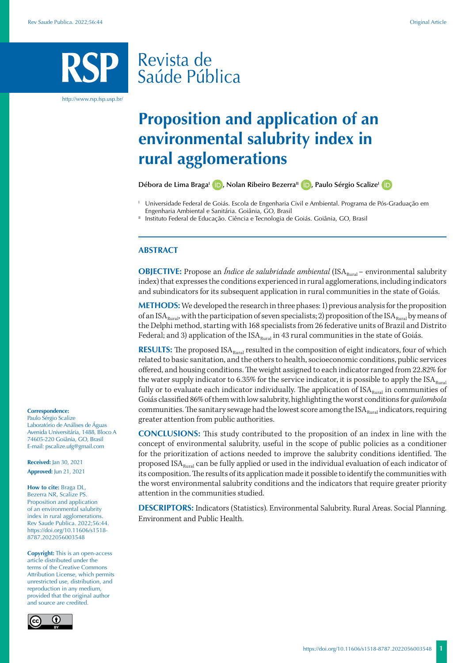## Revista de Saúde Pública

http://www.rsp.fsp.usp.br/

## **Proposition and application of an environmental salubrity index in rural agglomerations**

Débora de Lima Braga<sup>l</sup> **D**[,](https://orcid.org/0000-0002-9544-6448) Nolan Ribeiro Bezerra<sup>II</sup> **D**[,](https://orcid.org/0000-0002-9130-3271) Paulo Sérgio Scalize<sup>l</sup> **D** 

<sup>I</sup> Universidade Federal de Goiás. Escola de Engenharia Civil e Ambiental. Programa de Pós-Graduação em Engenharia Ambiental e Sanitária. Goiânia, GO, Brasil

Instituto Federal de Educação. Ciência e Tecnologia de Goiás. Goiânia, GO, Brasil

## **ABSTRACT**

**OBJECTIVE:** Propose an *Índice de salubridade ambiental* (ISA<sub>Rural</sub> – environmental salubrity index) that expresses the conditions experienced in rural agglomerations, including indicators and subindicators for its subsequent application in rural communities in the state of Goiás.

**METHODS:** We developed the research in three phases: 1) previous analysis for the proposition of an ISA<sub>Rural</sub>, with the participation of seven specialists; 2) proposition of the ISA<sub>Rural</sub> by means of the Delphi method, starting with 168 specialists from 26 federative units of Brazil and Distrito Federal; and 3) application of the  $ISA<sub>Rural</sub>$  in 43 rural communities in the state of Goiás.

**RESULTS:** The proposed  $ISA<sub>Rural</sub>$  resulted in the composition of eight indicators, four of which related to basic sanitation, and the others to health, socioeconomic conditions, public services offered, and housing conditions. The weight assigned to each indicator ranged from 22.82% for the water supply indicator to 6.35% for the service indicator, it is possible to apply the  $ISA<sub>Rural</sub>$ fully or to evaluate each indicator individually. The application of  $ISA<sub>Runal</sub>$  in communities of Goiás classified 86% of them with low salubrity, highlighting the worst conditions for *quilombola* communities. The sanitary sewage had the lowest score among the  $ISA<sub>Runal</sub>$  indicators, requiring greater attention from public authorities.

**CONCLUSIONS:** This study contributed to the proposition of an index in line with the concept of environmental salubrity, useful in the scope of public policies as a conditioner for the prioritization of actions needed to improve the salubrity conditions identified. The proposed ISA<sub>Rural</sub> can be fully applied or used in the individual evaluation of each indicator of its composition. The results of its application made it possible to identify the communities with the worst environmental salubrity conditions and the indicators that require greater priority attention in the communities studied.

**DESCRIPTORS:** Indicators (Statistics). Environmental Salubrity. Rural Areas. Social Planning. Environment and Public Health.

#### **Correspondence:**

Paulo Sérgio Scalize Laboratório de Análises de Águas Avenida Universitária, 1488, Bloco A 74605-220 Goiânia, GO, Brasil E-mail: pscalize.ufg@gmail.com

**Received:** Jan 30, 2021 **Approved:** Jun 21, 2021

**How to cite:** Braga DL, Bezerra NR, Scalize PS. Proposition and application of an environmental salubrity index in rural agglomerations. Rev Saude Publica. 2022;56:44. https://doi.org/10.11606/s1518- 8787.2022056003548

**Copyright:** This is an open-access article distributed under the terms of the Creative Commons Attribution License, which permits unrestricted use, distribution, and reproduction in any medium, provided that the original author and source are credited.

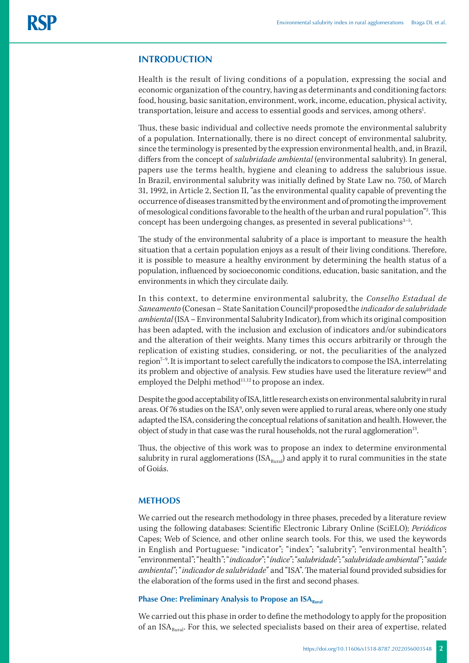## **INTRODUCTION**

Health is the result of living conditions of a population, expressing the social and economic organization of the country, having as determinants and conditioning factors: food, housing, basic sanitation, environment, work, income, education, physical activity, transportation, leisure and access to essential goods and services, among others<sup>1</sup>.

Thus, these basic individual and collective needs promote the environmental salubrity of a population. Internationally, there is no direct concept of environmental salubrity, since the terminology is presented by the expression environmental health, and, in Brazil, differs from the concept of *salubridade ambiental* (environmental salubrity). In general, papers use the terms health, hygiene and cleaning to address the salubrious issue. In Brazil, environmental salubrity was initially defined by State Law no. 750, of March 31, 1992, in Article 2, Section II, "as the environmental quality capable of preventing the occurrence of diseases transmitted by the environment and of promoting the improvement of mesological conditions favorable to the health of the urban and rural population"2 . This concept has been undergoing changes, as presented in several publications<sup>3-5</sup>.

The study of the environmental salubrity of a place is important to measure the health situation that a certain population enjoys as a result of their living conditions. Therefore, it is possible to measure a healthy environment by determining the health status of a population, influenced by socioeconomic conditions, education, basic sanitation, and the environments in which they circulate daily.

In this context, to determine environmental salubrity, the *Conselho Estadual de Saneamento* (Conesan – State Sanitation Council)6 proposedthe *indicador de salubridade ambiental* (ISA – Environmental Salubrity Indicator), from which its original composition has been adapted, with the inclusion and exclusion of indicators and/or subindicators and the alteration of their weights. Many times this occurs arbitrarily or through the replication of existing studies, considering, or not, the peculiarities of the analyzed region<sup>7-9</sup>. It is important to select carefully the indicators to compose the ISA, interrelating its problem and objective of analysis. Few studies have used the literature review<sup>10</sup> and employed the Delphi method<sup>11,12</sup> to propose an index.

Despite the good acceptability of ISA, little research exists on environmental salubrity in rural areas. Of 76 studies on the ISA<sup>9</sup>, only seven were applied to rural areas, where only one study adapted the ISA, considering the conceptual relations of sanitation and health. However, the object of study in that case was the rural households, not the rural agglomeration<sup>13</sup>.

Thus, the objective of this work was to propose an index to determine environmental salubrity in rural agglomerations (ISA $_{\text{Rural}}$ ) and apply it to rural communities in the state of Goiás.

#### **METHODS**

We carried out the research methodology in three phases, preceded by a literature review using the following databases: Scientific Electronic Library Online (SciELO); *Periódicos*  Capes; Web of Science, and other online search tools. For this, we used the keywords in English and Portuguese: "indicator"; "index"; "salubrity"; "environmental health"; "environmental"; "health"; "*indicador*"; "*índice*"; "*salubridade*"; "*salubridade ambiental*"; "*saúde ambiental*"; "*indicador de salubridade*" and "ISA". The material found provided subsidies for the elaboration of the forms used in the first and second phases.

## **Phase One: Preliminary Analysis to Propose an ISA**<sub>Rural</sub>

We carried out this phase in order to define the methodology to apply for the proposition of an  $ISA<sub>Runal</sub>$ . For this, we selected specialists based on their area of expertise, related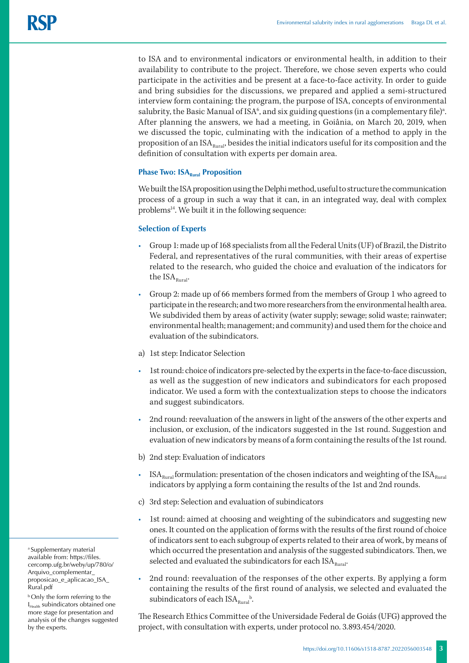to ISA and to environmental indicators or environmental health, in addition to their availability to contribute to the project. Therefore, we chose seven experts who could participate in the activities and be present at a face-to-face activity. In order to guide and bring subsidies for the discussions, we prepared and applied a semi-structured interview form containing: the program, the purpose of ISA, concepts of environmental salubrity, the Basic Manual of ISA $\mathfrak k$ , and six guiding questions (in a complementary file)<sup>a</sup>. After planning the answers, we had a meeting, in Goiânia, on March 20, 2019, when we discussed the topic, culminating with the indication of a method to apply in the proposition of an  $ISA<sub>Runal</sub>$ , besides the initial indicators useful for its composition and the definition of consultation with experts per domain area.

## **Phase Two: ISA**<sub>Rural</sub> Proposition

We built the ISA proposition using the Delphi method, useful to structure the communication process of a group in such a way that it can, in an integrated way, deal with complex problems<sup>14</sup>. We built it in the following sequence:

## **Selection of Experts**

- Group 1: made up of 168 specialists from all the Federal Units (UF) of Brazil, the Distrito Federal, and representatives of the rural communities, with their areas of expertise related to the research, who guided the choice and evaluation of the indicators for the  $ISA<sub>Runal</sub>$ .
- Group 2: made up of 66 members formed from the members of Group 1 who agreed to participate in the research; and two more researchers from the environmental health area. We subdivided them by areas of activity (water supply; sewage; solid waste; rainwater; environmental health; management; and community) and used them for the choice and evaluation of the subindicators.
- a) 1st step: Indicator Selection
- 1st round: choice of indicators pre-selected by the experts in the face-to-face discussion, as well as the suggestion of new indicators and subindicators for each proposed indicator. We used a form with the contextualization steps to choose the indicators and suggest subindicators.
- 2nd round: reevaluation of the answers in light of the answers of the other experts and inclusion, or exclusion, of the indicators suggested in the 1st round. Suggestion and evaluation of new indicators by means of a form containing the results of the 1st round.
- b) 2nd step: Evaluation of indicators
- $ISA<sub>Rural</sub>$  formulation: presentation of the chosen indicators and weighting of the  $ISA<sub>Rural</sub>$ indicators by applying a form containing the results of the 1st and 2nd rounds.
- c) 3rd step: Selection and evaluation of subindicators
- 1st round: aimed at choosing and weighting of the subindicators and suggesting new ones. It counted on the application of forms with the results of the first round of choice of indicators sent to each subgroup of experts related to their area of work, by means of which occurred the presentation and analysis of the suggested subindicators. Then, we selected and evaluated the subindicators for each  $ISA<sub>Runal</sub>$ .
- 2nd round: reevaluation of the responses of the other experts. By applying a form containing the results of the first round of analysis, we selected and evaluated the subindicators of each  $ISA_{\text{Rural}}^b$ .

The Research Ethics Committee of the Universidade Federal de Goiás (UFG) approved the project, with consultation with experts, under protocol no. 3.893.454/2020.

a Supplementary material available from: [https://files.](https://files.cercomp.ufg.br/weby/up/780/o/Arquivo_complementar_proposicao_e_aplicacao_ISA_Rural.pdf) [cercomp.ufg.br/weby/up/780/o/](https://files.cercomp.ufg.br/weby/up/780/o/Arquivo_complementar_proposicao_e_aplicacao_ISA_Rural.pdf) [Arquivo\\_complementar\\_](https://files.cercomp.ufg.br/weby/up/780/o/Arquivo_complementar_proposicao_e_aplicacao_ISA_Rural.pdf) [proposicao\\_e\\_aplicacao\\_ISA\\_](https://files.cercomp.ufg.br/weby/up/780/o/Arquivo_complementar_proposicao_e_aplicacao_ISA_Rural.pdf) [Rural.pdf](https://files.cercomp.ufg.br/weby/up/780/o/Arquivo_complementar_proposicao_e_aplicacao_ISA_Rural.pdf)

**b** Only the form referring to the  $I<sub>Health</sub> subindicators obtained one$ more stage for presentation and analysis of the changes suggested by the experts.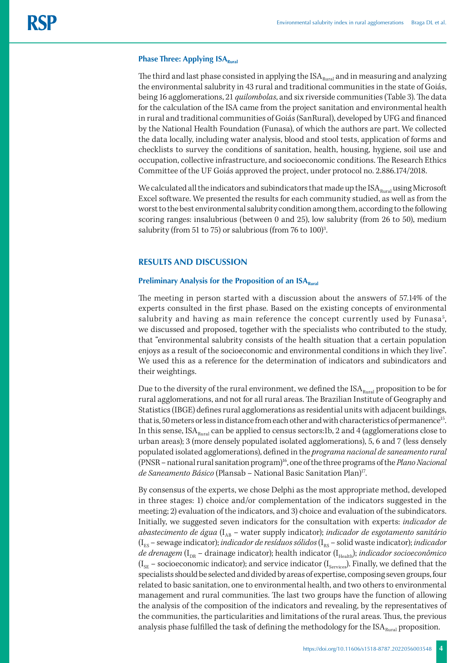#### **Phase Three: Applying ISA**<sub>Rural</sub>

The third and last phase consisted in applying the  $ISA<sub>Runal</sub>$  and in measuring and analyzing the environmental salubrity in 43 rural and traditional communities in the state of Goiás, being 16 agglomerations, 21 *quilombolas*, and six riverside communities (Table 3). The data for the calculation of the ISA came from the project sanitation and environmental health in rural and traditional communities of Goiás (SanRural), developed by UFG and financed by the National Health Foundation (Funasa), of which the authors are part. We collected the data locally, including water analysis, blood and stool tests, application of forms and checklists to survey the conditions of sanitation, health, housing, hygiene, soil use and occupation, collective infrastructure, and socioeconomic conditions. The Research Ethics Committee of the UF Goiás approved the project, under protocol no. 2.886.174/2018.

We calculated all the indicators and subindicators that made up the  $ISA<sub>Runal</sub>$  using Microsoft Excel software. We presented the results for each community studied, as well as from the worst to the best environmental salubrity condition among them, according to the following scoring ranges: insalubrious (between 0 and 25), low salubrity (from 26 to 50), medium salubrity (from 51 to 75) or salubrious (from 76 to  $100$ <sup>3</sup>. .

#### **RESULTS AND DISCUSSION**

## **Preliminary Analysis for the Proposition of an ISA**<sub>Rural</sub>

The meeting in person started with a discussion about the answers of 57.14% of the experts consulted in the first phase. Based on the existing concepts of environmental salubrity and having as main reference the concept currently used by Funasa<sup>5</sup>, we discussed and proposed, together with the specialists who contributed to the study, that "environmental salubrity consists of the health situation that a certain population enjoys as a result of the socioeconomic and environmental conditions in which they live". We used this as a reference for the determination of indicators and subindicators and their weightings.

Due to the diversity of the rural environment, we defined the  $ISA<sub>Rural</sub>$  proposition to be for rural agglomerations, and not for all rural areas. The Brazilian Institute of Geography and Statistics (IBGE) defines rural agglomerations as residential units with adjacent buildings, that is, 50 meters or less in distance from each other and with characteristics of permanence<sup>15</sup>. In this sense,  $ISA<sub>Rural</sub>$  can be applied to census sectors:1b, 2 and 4 (agglomerations close to urban areas); 3 (more densely populated isolated agglomerations), 5, 6 and 7 (less densely populated isolated agglomerations), defined in the *programa nacional de saneamento rural* (PNSR – national rural sanitation program)16, one of the three programs of the *Plano Nacional de Saneamento Básico* (Plansab – National Basic Sanitation Plan)17.

By consensus of the experts, we chose Delphi as the most appropriate method, developed in three stages: 1) choice and/or complementation of the indicators suggested in the meeting; 2) evaluation of the indicators, and 3) choice and evaluation of the subindicators. Initially, we suggested seven indicators for the consultation with experts: *indicador de abastecimento de água* (I<sub>AB</sub> – water supply indicator); *indicador de esgotamento sanitário* (I<sub>ES</sub> – sewage indicator); *indicador de resíduos sólidos* (I<sub>RS</sub> – solid waste indicator); *indicador de drenagem* (I<sub>DR</sub> – drainage indicator); health indicator (I<sub>Health</sub>); *indicador socioeconômico*  $(I_{SE}$  – socioeconomic indicator); and service indicator  $(I_{Serves})$ . Finally, we defined that the specialists should be selected and divided by areas of expertise, composing seven groups, four related to basic sanitation, one to environmental health, and two others to environmental management and rural communities. The last two groups have the function of allowing the analysis of the composition of the indicators and revealing, by the representatives of the communities, the particularities and limitations of the rural areas. Thus, the previous analysis phase fulfilled the task of defining the methodology for the  $ISA<sub>Runal</sub>$  proposition.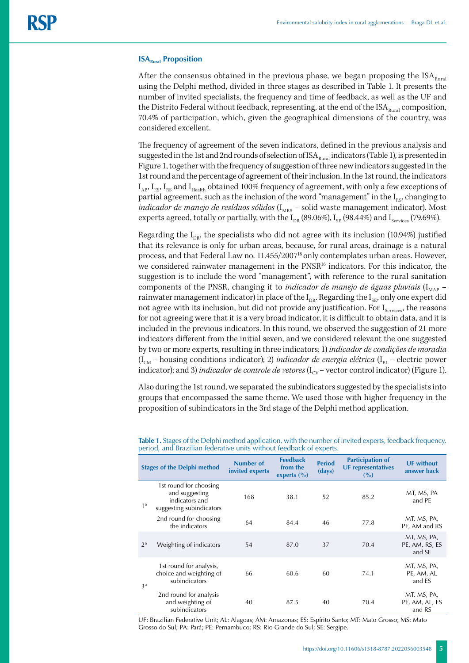#### **ISA**<sub>Rural</sub> Proposition

After the consensus obtained in the previous phase, we began proposing the  $ISA<sub>Rural</sub>$ using the Delphi method, divided in three stages as described in Table 1. It presents the number of invited specialists, the frequency and time of feedback, as well as the UF and the Distrito Federal without feedback, representing, at the end of the  $ISA<sub>Runal</sub>$  composition, 70.4% of participation, which, given the geographical dimensions of the country, was considered excellent.

The frequency of agreement of the seven indicators, defined in the previous analysis and suggested in the 1st and 2nd rounds of selection of  $ISA<sub>Runal</sub>$  indicators (Table 1), is presented in Figure 1, together with the frequency of suggestion of three new indicators suggested in the 1st round and the percentage of agreement of their inclusion. In the 1st round, the indicators  $I_{AB}$ ,  $I_{ES}$ ,  $I_{ES}$  and  $I_{Head}$  obtained 100% frequency of agreement, with only a few exceptions of partial agreement, such as the inclusion of the word "management" in the  $I_{RS}$ , changing to *indicador de manejo de resíduos sólidos* (I<sub>MRS</sub> – solid waste management indicator). Most experts agreed, totally or partially, with the  $I_{DR}$  (89.06%),  $I_{SE}$  (98.44%) and  $I_{Services}$  (79.69%).

Regarding the  $I_{DR}$ , the specialists who did not agree with its inclusion (10.94%) justified that its relevance is only for urban areas, because, for rural areas, drainage is a natural process, and that Federal Law no. 11.455/200718 only contemplates urban areas. However, we considered rainwater management in the PNSR16 indicators. For this indicator, the suggestion is to include the word "management", with reference to the rural sanitation components of the PNSR, changing it to *indicador de manejo de águas pluviais* ( $I_{\text{MAP}}$  – rainwater management indicator) in place of the  $I_{DR}$ . Regarding the  $I_{SE}$ , only one expert did not agree with its inclusion, but did not provide any justification. For  $I_{\text{Serves}}$ , the reasons for not agreeing were that it is a very broad indicator, it is difficult to obtain data, and it is included in the previous indicators. In this round, we observed the suggestion of 21 more indicators different from the initial seven, and we considered relevant the one suggested by two or more experts, resulting in three indicators: 1) *indicador de condições de moradia*  $(I<sub>CM</sub> - housing conditions indicator); 2) *indicador de energia elétrica* (I<sub>EL</sub> - electric power)$ indicator); and 3) *indicador de controle de vetores* (I<sub>CV</sub> – vector control indicator) (Figure 1).

Also during the 1st round, we separated the subindicators suggested by the specialists into groups that encompassed the same theme. We used those with higher frequency in the proposition of subindicators in the 3rd stage of the Delphi method application.

| <b>Stages of the Delphi method</b> |                                                                                        | Number of<br>invited experts | <b>Feedback</b><br>from the<br>experts $(\% )$ | <b>Period</b><br>(days) | <b>Participation of</b><br><b>UF representatives</b><br>(%) | <b>UF without</b><br>answer back        |
|------------------------------------|----------------------------------------------------------------------------------------|------------------------------|------------------------------------------------|-------------------------|-------------------------------------------------------------|-----------------------------------------|
| 1 <sup>a</sup>                     | 1st round for choosing<br>and suggesting<br>indicators and<br>suggesting subindicators | 168                          | 38.1                                           | 52                      | 85.2                                                        | MT, MS, PA<br>and PE                    |
|                                    | 2nd round for choosing<br>the indicators                                               | 64                           | 84.4                                           | 46                      | 77.8                                                        | MT, MS, PA,<br>PE, AM and RS            |
| $2^{\mathrm{a}}$                   | Weighting of indicators                                                                | 54                           | 87.0                                           | 37                      | 70.4                                                        | MT, MS, PA,<br>PE, AM, RS, ES<br>and SE |
| 3 <sup>a</sup>                     | 1st round for analysis,<br>choice and weighting of<br>subindicators                    | 66                           | 60.6                                           | 60                      | 74.1                                                        | MT, MS, PA,<br>PE, AM, AL<br>and ES     |
|                                    | 2nd round for analysis<br>and weighting of<br>subindicators                            | 40                           | 87.5                                           | 40                      | 70.4                                                        | MT, MS, PA,<br>PE, AM, AL, ES<br>and RS |

**Table 1.** Stages of the Delphi method application, with the number of invited experts, feedback frequency, period, and Brazilian federative units without feedback of experts.

UF: Brazilian Federative Unit; AL: Alagoas; AM: Amazonas; ES: Espírito Santo; MT: Mato Grosso; MS: Mato Grosso do Sul; PA: Pará; PE: Pernambuco; RS: Rio Grande do Sul; SE: Sergipe.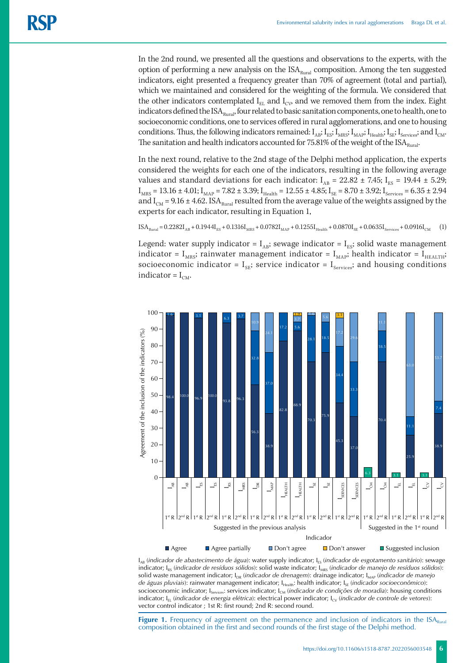In the 2nd round, we presented all the questions and observations to the experts, with the option of performing a new analysis on the  $ISA<sub>Rural</sub>$  composition. Among the ten suggested indicators, eight presented a frequency greater than 70% of agreement (total and partial), which we maintained and considered for the weighting of the formula. We considered that the other indicators contemplated  $I_{EL}$  and  $I_{CV}$  and we removed them from the index. Eight indicators defined the  $ISA<sub>Runal</sub>$ , four related to basic sanitation components, one to health, one to socioeconomic conditions, one to services offered in rural agglomerations, and one to housing conditions. Thus, the following indicators remained:  $I_{AB}; I_{ES}; I_{MRS}; I_{MAP}; I_{Health}; I_{SE}; I_{Services};$  and  $I_{CM}.$ The sanitation and health indicators accounted for 75.81% of the weight of the  $ISA<sub>Runal</sub>$ .

In the next round, relative to the 2nd stage of the Delphi method application, the experts considered the weights for each one of the indicators, resulting in the following average values and standard deviations for each indicator:  $I_{AB} = 22.82 \pm 7.45$ ;  $I_{ES} = 19.44 \pm 5.29$ ;  $I_{MRS} = 13.16 \pm 4.01$ ;  $I_{MAP} = 7.82 \pm 3.39$ ;  $I_{Health} = 12.55 \pm 4.85$ ;  $I_{SE} = 8.70 \pm 3.92$ ;  $I_{Serves} = 6.35 \pm 2.94$ and  $I_{\text{CM}}$  = 9.16 ± 4.62. ISA<sub>Rural</sub> resulted from the average value of the weights assigned by the experts for each indicator, resulting in Equation 1,

$$
\text{ISA}_{\text{Rural}} = 0.2282\text{I}_{\text{AB}} + 0.1944\text{I}_{\text{ES}} + 0.1316\text{I}_{\text{MRS}} + 0.0782\text{I}_{\text{MAP}} + 0.1255\text{I}_{\text{Health}} + 0.0870\text{I}_{\text{SE}} + 0.0635\text{I}_{\text{Service}} + 0.0916\text{I}_{\text{CM}} \tag{1}
$$

Legend: water supply indicator =  $I_{AB}$ ; sewage indicator =  $I_{ES}$ ; solid waste management indicator =  $I_{MRS}$ ; rainwater management indicator =  $I_{MAP}$ ; health indicator =  $I_{HEAITH}$ ; socioeconomic indicator =  $I_{SE}$ ; service indicator =  $I_{Services}$ ; and housing conditions indicator =  $I_{CM}$ .



I<sub>AB</sub> (indicador de abastecimento de água): water supply indicator; I<sub>ES</sub> (indicador de esgotamento sanitário): sewage indicator; I<sub>RS</sub> (*indicador de resíduos sólidos*): solid waste indicator; I<sub>MRS</sub> (*indicador de manejo de resíduos sólidos*): solid waste management indicator; I<sub>DR</sub> (*indicador de drenagem*): drainage indicator; I<sub>MAP</sub> (*indicador de manejo de águas pluviais*): rainwater management indicator; I<sub>Health</sub>: health indicator; I<sub>SE</sub> (*indicador socioeconômico*): socioeconomic indicator; I<sub>Services</sub>: services indicator; I<sub>CM</sub> (*indicador de condições de moradia*): housing conditions indicator; I<sub>EL</sub> (*indicador de energia elétrica*): electrical power indicator; I<sub>CV</sub> (*indicador de controle de vetores*): vector control indicator ; 1st R: first round; 2nd R: second round.

**Figure 1.** Frequency of agreement on the permanence and inclusion of indicators in the ISA composition obtained in the first and second rounds of the first stage of the Delphi method.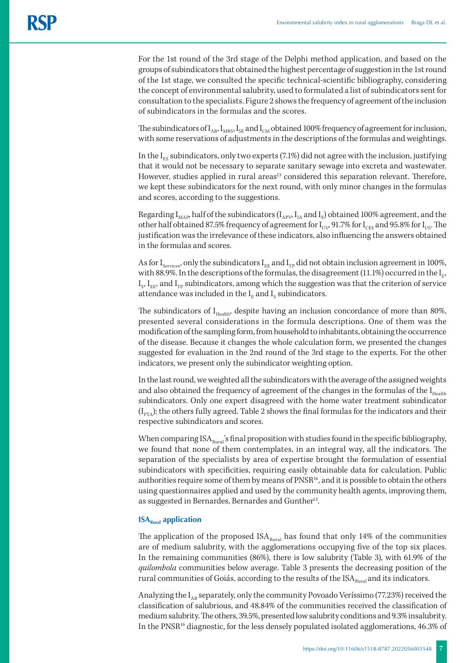For the 1st round of the 3rd stage of the Delphi method application, and based on the groups of subindicators that obtained the highest percentage of suggestion in the 1st round of the 1st stage, we consulted the specific technical-scientific bibliography, considering the concept of environmental salubrity, used to formulated a list of subindicators sent for consultation to the specialists. Figure 2 shows the frequency of agreement of the inclusion of subindicators in the formulas and the scores.

The subindicators of  $I_{AB}$ ,  $I_{MRS}$ ,  $I_{SE}$  and  $I_{CM}$  obtained 100% frequency of agreement for inclusion, with some reservations of adjustments in the descriptions of the formulas and weightings.

In the  $I_{FS}$  subindicators, only two experts (7.1%) did not agree with the inclusion, justifying that it would not be necessary to separate sanitary sewage into excreta and wastewater. However, studies applied in rural areas<sup>13</sup> considered this separation relevant. Therefore, we kept these subindicators for the next round, with only minor changes in the formulas and scores, according to the suggestions.

Regarding  $I_{MAP}$ , half of the subindicators ( $I_{APV}$ ,  $I_{IA}$  and  $I_E$ ) obtained 100% agreement, and the other half obtained 87.5% frequency of agreement for  $I_{UV}$ , 91.7% for  $I_{CES}$  and 95.8% for  $I_{US}$ . The justification was the irrelevance of these indicators, also influencing the answers obtained in the formulas and scores.

As for I<sub>Services</sub>, only the subindicators I<sub>EE</sub> and I<sub>TP</sub> did not obtain inclusion agreement in 100%, with 88.9%. In the descriptions of the formulas, the disagreement (11.1%) occurred in the  $I_{F}$ ,  $I_{\rm s}$ ,  $I_{\rm EE}$ , and  $I_{\rm TP}$  subindicators, among which the suggestion was that the criterion of service attendance was included in the  $I<sub>F</sub>$  and  $I<sub>S</sub>$  subindicators.

The subindicators of  $I_{\text{Health}}$ , despite having an inclusion concordance of more than 80%, presented several considerations in the formula descriptions. One of them was the modification of the sampling form, from household to inhabitants, obtaining the occurrence of the disease. Because it changes the whole calculation form, we presented the changes suggested for evaluation in the 2nd round of the 3rd stage to the experts. For the other indicators, we present only the subindicator weighting option.

In the last round, we weighted all the subindicators with the average of the assigned weights and also obtained the frequency of agreement of the changes in the formulas of the  $I<sub>Health</sub>$ subindicators. Only one expert disagreed with the home water treatment subindicator  $(I_{PTA})$ ; the others fully agreed. Table 2 shows the final formulas for the indicators and their respective subindicators and scores.

When comparing  $ISA<sub>Rural</sub>$ 's final proposition with studies found in the specific bibliography, we found that none of them contemplates, in an integral way, all the indicators. The separation of the specialists by area of expertise brought the formulation of essential subindicators with specificities, requiring easily obtainable data for calculation. Public authorities require some of them by means of PNSR<sup>16</sup>, and it is possible to obtain the others using questionnaires applied and used by the community health agents, improving them, as suggested in Bernardes, Bernardes and Gunther<sup>13</sup>.

## **ISA**<sub>Rural</sub> application

The application of the proposed  $ISA<sub>Rural</sub>$  has found that only 14% of the communities are of medium salubrity, with the agglomerations occupying five of the top six places. In the remaining communities (86%), there is low salubrity (Table 3), with 61.9% of the *quilombola* communities below average. Table 3 presents the decreasing position of the rural communities of Goiás, according to the results of the  $ISA<sub>Runal</sub>$  and its indicators.

Analyzing the  $I_{AB}$  separately, only the community Povoado Veríssimo (77.23%) received the classification of salubrious, and 48.84% of the communities received the classification of medium salubrity. The others, 39.5%, presented low salubrity conditions and 9.3% insalubrity. In the PNSR<sup>16</sup> diagnostic, for the less densely populated isolated agglomerations, 46.3% of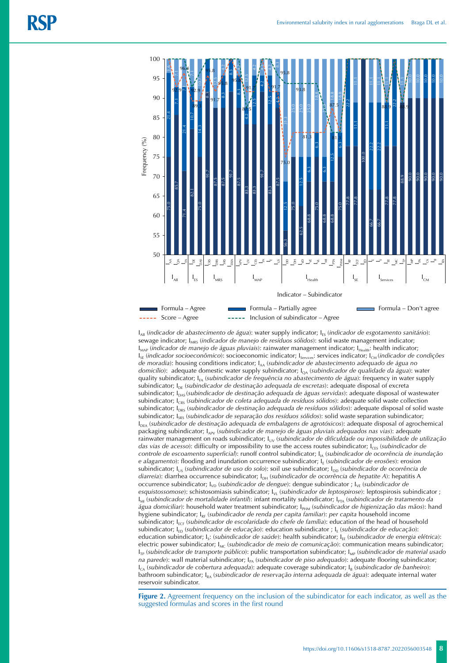

 $I_{AB}$  (*indicador de abastecimento de água*): water supply indicator;  $I_{FS}$  (*indicador de esgotamento sanitário*): sewage indicator; I<sub>MRS</sub> (*indicador de manejo de resíduos sólidos*): solid waste management indicator; I<sub>MAP</sub> (*indicador de manejo de águas pluviais*): rainwater management indicator; I<sub>Health</sub>: health indicator; I<sub>SE</sub> (indicador socioeconômico): socioeconomic indicator; I<sub>services</sub>: services indicator; I<sub>CM</sub> (indicador de condições *de moradia*): housing conditions indicator; IAA (*subindicador de abastecimento adequado de água no*  domicílio): adequate domestic water supply subindicator; l<sub>OA</sub> (*subindicador de qualidade da água*): water quality subindicator; I<sub>FA</sub> (*subindicador de frequência no abastecimento de água*): frequency in water supply subindicator; I<sub>DE</sub> (*subindicador de destinação adequada de excretas*): adequate disposal of excreta subindicator; I<sub>DAS</sub> (*subindicador de destinação adequada de águas servidas*): adequate disposal of wastewater subindicator; I<sub>CRS</sub> (*subindicador de coleta adequada de resíduos sólidos*): adequate solid waste collection subindicator; I<sub>DRS</sub> (*subindicador de destinação adequada de resíduos sólidos*): adequate disposal of solid waste subindicator; I<sub>SRS</sub> (*subindicador de separação dos resíduos sólidos*): solid waste separation subindicator; I<sub>DEA</sub> (*subindicador de destinação adequada de embalagens de agrotóxicos*): adequate disposal of agrochemical packaging subindicator; I<sub>APV</sub> (subindicador de manejo de águas pluviais adequados nas vias): adequate rainwater management on roads subindicator; I<sub>UV</sub> (*subindicador de dificuldade ou impossibilidade de utilização das vias de acesso*): difficulty or impossibility to use the access routes subindicator; I<sub>CES</sub> (*subindicador de controle de escoamento superficial*): runoff control subindicator; IIA (*subindicador de ocorrência de inundação e alagamento*): flooding and inundation occurrence subindicator; I<sub>E</sub> (*subindicador de erosões*): erosion subindicator; I<sub>US</sub> (*subindicador de uso do solo*): soil use subindicator; I<sub>DD</sub> (*subindicador de ocorrência de diarreia*): diarrhea occurrence subindicator; I<sub>DH</sub> (*subindicador de ocorrência de hepatite A*): hepatitis A occurrence subindicator; I<sub>VD</sub> (*subindicador de dengue*): dengue subindicator ; I<sub>VE</sub> (*subindicador de esquistossomose*): schistosomiasis subindicator; *I<sub>VL</sub>* (*subindicador de leptospirose*): leptospirosis subindicator ; I<sub>MI</sub> (*subindicador de mortalidade infantil*): infant mortality subindicator; I<sub>PTA</sub> (*subindicador de tratamento da* água domiciliar): household water treatment subindicator; I<sub>PHM</sub> (subindicador de higienização das mãos): hand hygiene subindicator; IRF (*subindicador de renda per capita familiar*): *per capita* household income subindicator; I<sub>ECF</sub> (*subindicador de escolaridade do chefe de família*): education of the head of household subindicator; I<sub>ED</sub> (*subindicador de educação*): education subindicator ; I<sub>E</sub> (*subindicador de educação*): education subindicator; I<sub>S</sub>: (*subindicador de saúde*): health subindicator; I<sub>EE</sub> (*subindicador de energia elétrica*): electric power subindicator; I<sub>MC</sub> (*subindicador de meio de comunicação*): communication means subindicator; I<sub>TP</sub> (*subindicador de transporte público*): public transportation subindicator; I<sub>MP</sub> (*subindicador de material usado na parede*): wall material subindicator; I<sub>PA</sub> (*subindicador de piso adequado*): adequate flooring subindicator;  $I_{CA}$  (*subindicador de cobertura adequada*): adequate coverage subindicator;  $I_B$  (*subindicador de banheiro*): bathroom subindicator; I<sub>RA</sub> (*subindicador de reservação interna adequada de água*): adequate internal water reservoir subindicator. suggested formulas and scores in the first round 75.0 85.7 71.4 82.1 75.0 91.7 87.5 87.591.7 87.5 83.3 83.3 91.7 83.387.5

**Figure 2.** Agreement frequency on the inclusion of the subindicator for each indicator, as well as the suggested formulas and scores in the first round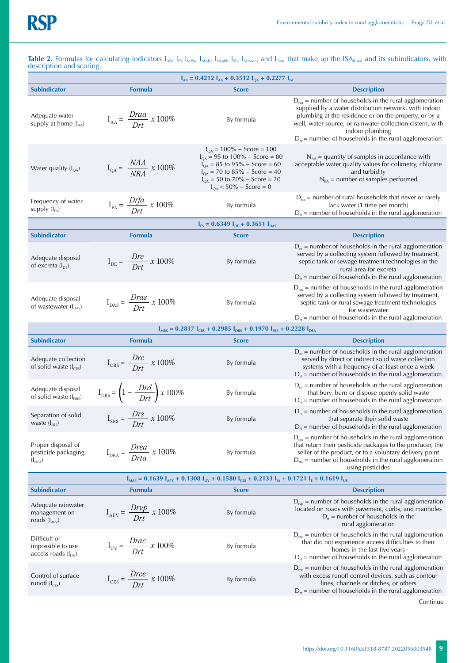**Table 2.** Formulas for calculating indicators  $I_{AB}$ ,  $I_{ES}$ ,  $I_{MAS}$ ,  $I_{Hedth}$ ,  $I_{SEN}$ ,  $I_{SEN}$  and  $I_{CMV}$  that make up the ISA<sub>Rural</sub> and its subindicators, with description and scoring.

| <b>Subindicator</b><br><b>Score</b><br><b>Description</b><br><b>Formula</b><br>$Draa$ = number of households in the rural agglomeration<br>supplied by a water distribution network, with indoor<br>plumbing at the residence or on the property, or by a<br>Adequate water<br>$I_{AA} = \frac{Draa}{Drt} \times 100\%$<br>By formula<br>supply at home $(I_{AA})$<br>well, water source, or rainwater collection cistern, with<br>indoor plumbing<br>$D_{rt}$ = number of households in the rural agglomeration<br>$I_{QA} = 100\% - Score = 100$<br>$I_{OA}$ = 95 to 100% – Score = 80<br>$N_{AA}$ = quantity of samples in accordance with<br>$I_{QA} = \frac{NAA}{NRA} \times 100\%$<br>$I_{QA} = 85$ to 95% – Score = 60<br>acceptable water quality values for colimetry, chlorine<br>Water quality $(I_{QA})$<br>$I_{QA}$ = 70 to 85% – Score = 40<br>and turbidity<br>$I_{QA} = 50$ to $70\% - Score = 20$<br>$N_{RA}$ = number of samples performed<br>$I_{OA}$ < 50% – Score = 0<br>$D_{\text{rfa}}$ = number of rural households that never or rarely<br>$I_{FA} = \frac{Drfa}{Drt} \times 100\%$<br>Frequency of water<br>By formula<br>lack water (1 time per month)<br>supply $(I_{FA})$<br>$D_{rt}$ = number of households in the rural agglomeration<br>$I_{ES} = 0.6349 I_{DE} + 0.3651 I_{DAS}$<br><b>Subindicator</b><br><b>Formula</b><br><b>Description</b><br><b>Score</b><br>$D_{\text{re}}$ = number of households in the rural agglomeration<br>served by a collecting system followed by treatment,<br>Adequate disposal<br>$I_{DE} = \frac{Dre}{Drt} \times 100\%$<br>By formula<br>septic tank or sewage treatment technologies in the<br>of excreta $(I_{DE})$<br>rural area for excreta<br>$D_{rt}$ = number of households in the rural agglomeration<br>$D_{\text{ras}}$ = number of households in the rural agglomeration<br>served by a collecting system followed by treatment,<br>$I_{\text{DAS}} = \frac{Dras}{Drt} x 100\%$<br>Adequate disposal<br>By formula<br>septic tank or rural sewage treatment technologies<br>of wastewater $(I_{\text{DAS}})$<br>for wastewater<br>$D_{rt}$ = number of households in the rural agglomeration<br>$I_{MRS}$ = 0.2817 $I_{CRS}$ + 0.2985 $I_{DRS}$ + 0.1970 $I_{SRS}$ + 0.2228 $I_{DEA}$<br><b>Subindicator</b><br><b>Formula</b><br><b>Description</b><br><b>Score</b><br>$D_{rc}$ = number of households in the rural agglomeration<br>Adequate collection<br>served by direct or indirect solid waste collection<br>$I_{CRS} = \frac{Drc}{Drt} x 100\%$<br>By formula<br>of solid waste $(I_{CRS})$<br>systems with a frequency of at least once a week<br>$D_{\rm rt}$ = number of households in the rural agglomeration<br>$D_{\rm rd}$ = number of households in the rural agglomeration<br>$\mathrm{I}_{\mathrm{DRS}}\!=\!\left(1-\frac{D r d}{D r t}\right)\! \times 100\%$<br>Adequate disposal<br>By formula<br>that bury, burn or dispose openly solid waste<br>of solid waste $(I_{DRS})$<br>$D_{rt}$ = number of households in the rural agglomeration<br>$D_{rs}$ = number of households in the rural agglomeration<br>$I_{SRS} = \frac{Drs}{Drt} \times 100\%$<br>Separation of solid<br>By formula<br>that separate their solid waste<br>waste $(I_{SRS})$<br>$D_{\text{rea}}$ = number of households in the rural agglomeration<br>Proper disposal of<br>that return their pesticide packages to the producer, the<br>$I_{DEA} = \frac{Drea}{Drta} \times 100\%$<br>By formula<br>pesticide packaging<br>seller of the product, or to a voluntary delivery point<br>$D_{\text{rta}}$ = number of households in the rural agglomeration<br>$(I_{DEA})$<br>using pesticides<br>$I_{MAP} = 0.1639 I_{APV} + 0.1308 I_{UV} + 0.1580 I_{CES} + 0.2133 I_{IA} + 0.1721 I_{E} + 0.1619 I_{US}$<br><b>Subindicator</b><br><b>Formula</b><br><b>Description</b><br>Score<br>$D_{\text{rep}}$ = number of households in the rural agglomeration<br>Adequate rainwater<br>$I_{APV} = \frac{Drvp}{Drt} \times 100\%$<br>located on roads with pavement, curbs, and manholes<br>By formula<br>management on<br>$D_{\tau}$ = number of households in the<br>roads $(I_{APV})$<br>rural agglomeration<br>$D_{\text{rac}}$ = number of households in the rural agglomeration<br>Difficult or<br>$I_{UV} = \frac{Drac}{Drt} \times 100\%$<br>that did not experience access difficulties to their<br>By formula<br>impossible to use<br>homes in the last five years<br>access roads $(I_{UV})$<br>$D_{\rm rt}$ = number of households in the rural agglomeration<br>$D_{\text{ree}}$ = number of households in the rural agglomeration<br>$I_{\text{CES}} = \frac{Drce}{Drt} \times 100\%$<br>Control of surface<br>with excess runoff control devices, such as contour<br>By formula<br>lines, channels or ditches, or others<br>runoff $(I_{CES})$ | $I_{AB} = 0.4212 I_{AA} + 0.3512 I_{QA} + 0.2277 I_{FA}$ |  |  |                                                            |  |  |  |  |
|-------------------------------------------------------------------------------------------------------------------------------------------------------------------------------------------------------------------------------------------------------------------------------------------------------------------------------------------------------------------------------------------------------------------------------------------------------------------------------------------------------------------------------------------------------------------------------------------------------------------------------------------------------------------------------------------------------------------------------------------------------------------------------------------------------------------------------------------------------------------------------------------------------------------------------------------------------------------------------------------------------------------------------------------------------------------------------------------------------------------------------------------------------------------------------------------------------------------------------------------------------------------------------------------------------------------------------------------------------------------------------------------------------------------------------------------------------------------------------------------------------------------------------------------------------------------------------------------------------------------------------------------------------------------------------------------------------------------------------------------------------------------------------------------------------------------------------------------------------------------------------------------------------------------------------------------------------------------------------------------------------------------------------------------------------------------------------------------------------------------------------------------------------------------------------------------------------------------------------------------------------------------------------------------------------------------------------------------------------------------------------------------------------------------------------------------------------------------------------------------------------------------------------------------------------------------------------------------------------------------------------------------------------------------------------------------------------------------------------------------------------------------------------------------------------------------------------------------------------------------------------------------------------------------------------------------------------------------------------------------------------------------------------------------------------------------------------------------------------------------------------------------------------------------------------------------------------------------------------------------------------------------------------------------------------------------------------------------------------------------------------------------------------------------------------------------------------------------------------------------------------------------------------------------------------------------------------------------------------------------------------------------------------------------------------------------------------------------------------------------------------------------------------------------------------------------------------------------------------------------------------------------------------------------------------------------------------------------------------------------------------------------------------------------------------------------------------------------------------------------------------------------------------------------------------------------------------------------------------------------------------------------------------------------------------------------------------------------------------------------------------------------------------------------------------------------------------------------------------------------------------------------------------------------------------------------------------------------------------------------------------------------------------------------------------------------------------------------------------------------------------------------------------------------------------------------------------------|----------------------------------------------------------|--|--|------------------------------------------------------------|--|--|--|--|
|                                                                                                                                                                                                                                                                                                                                                                                                                                                                                                                                                                                                                                                                                                                                                                                                                                                                                                                                                                                                                                                                                                                                                                                                                                                                                                                                                                                                                                                                                                                                                                                                                                                                                                                                                                                                                                                                                                                                                                                                                                                                                                                                                                                                                                                                                                                                                                                                                                                                                                                                                                                                                                                                                                                                                                                                                                                                                                                                                                                                                                                                                                                                                                                                                                                                                                                                                                                                                                                                                                                                                                                                                                                                                                                                                                                                                                                                                                                                                                                                                                                                                                                                                                                                                                                                                                                                                                                                                                                                                                                                                                                                                                                                                                                                                                                                                                     |                                                          |  |  |                                                            |  |  |  |  |
|                                                                                                                                                                                                                                                                                                                                                                                                                                                                                                                                                                                                                                                                                                                                                                                                                                                                                                                                                                                                                                                                                                                                                                                                                                                                                                                                                                                                                                                                                                                                                                                                                                                                                                                                                                                                                                                                                                                                                                                                                                                                                                                                                                                                                                                                                                                                                                                                                                                                                                                                                                                                                                                                                                                                                                                                                                                                                                                                                                                                                                                                                                                                                                                                                                                                                                                                                                                                                                                                                                                                                                                                                                                                                                                                                                                                                                                                                                                                                                                                                                                                                                                                                                                                                                                                                                                                                                                                                                                                                                                                                                                                                                                                                                                                                                                                                                     |                                                          |  |  |                                                            |  |  |  |  |
|                                                                                                                                                                                                                                                                                                                                                                                                                                                                                                                                                                                                                                                                                                                                                                                                                                                                                                                                                                                                                                                                                                                                                                                                                                                                                                                                                                                                                                                                                                                                                                                                                                                                                                                                                                                                                                                                                                                                                                                                                                                                                                                                                                                                                                                                                                                                                                                                                                                                                                                                                                                                                                                                                                                                                                                                                                                                                                                                                                                                                                                                                                                                                                                                                                                                                                                                                                                                                                                                                                                                                                                                                                                                                                                                                                                                                                                                                                                                                                                                                                                                                                                                                                                                                                                                                                                                                                                                                                                                                                                                                                                                                                                                                                                                                                                                                                     |                                                          |  |  |                                                            |  |  |  |  |
|                                                                                                                                                                                                                                                                                                                                                                                                                                                                                                                                                                                                                                                                                                                                                                                                                                                                                                                                                                                                                                                                                                                                                                                                                                                                                                                                                                                                                                                                                                                                                                                                                                                                                                                                                                                                                                                                                                                                                                                                                                                                                                                                                                                                                                                                                                                                                                                                                                                                                                                                                                                                                                                                                                                                                                                                                                                                                                                                                                                                                                                                                                                                                                                                                                                                                                                                                                                                                                                                                                                                                                                                                                                                                                                                                                                                                                                                                                                                                                                                                                                                                                                                                                                                                                                                                                                                                                                                                                                                                                                                                                                                                                                                                                                                                                                                                                     |                                                          |  |  |                                                            |  |  |  |  |
|                                                                                                                                                                                                                                                                                                                                                                                                                                                                                                                                                                                                                                                                                                                                                                                                                                                                                                                                                                                                                                                                                                                                                                                                                                                                                                                                                                                                                                                                                                                                                                                                                                                                                                                                                                                                                                                                                                                                                                                                                                                                                                                                                                                                                                                                                                                                                                                                                                                                                                                                                                                                                                                                                                                                                                                                                                                                                                                                                                                                                                                                                                                                                                                                                                                                                                                                                                                                                                                                                                                                                                                                                                                                                                                                                                                                                                                                                                                                                                                                                                                                                                                                                                                                                                                                                                                                                                                                                                                                                                                                                                                                                                                                                                                                                                                                                                     |                                                          |  |  |                                                            |  |  |  |  |
|                                                                                                                                                                                                                                                                                                                                                                                                                                                                                                                                                                                                                                                                                                                                                                                                                                                                                                                                                                                                                                                                                                                                                                                                                                                                                                                                                                                                                                                                                                                                                                                                                                                                                                                                                                                                                                                                                                                                                                                                                                                                                                                                                                                                                                                                                                                                                                                                                                                                                                                                                                                                                                                                                                                                                                                                                                                                                                                                                                                                                                                                                                                                                                                                                                                                                                                                                                                                                                                                                                                                                                                                                                                                                                                                                                                                                                                                                                                                                                                                                                                                                                                                                                                                                                                                                                                                                                                                                                                                                                                                                                                                                                                                                                                                                                                                                                     |                                                          |  |  |                                                            |  |  |  |  |
|                                                                                                                                                                                                                                                                                                                                                                                                                                                                                                                                                                                                                                                                                                                                                                                                                                                                                                                                                                                                                                                                                                                                                                                                                                                                                                                                                                                                                                                                                                                                                                                                                                                                                                                                                                                                                                                                                                                                                                                                                                                                                                                                                                                                                                                                                                                                                                                                                                                                                                                                                                                                                                                                                                                                                                                                                                                                                                                                                                                                                                                                                                                                                                                                                                                                                                                                                                                                                                                                                                                                                                                                                                                                                                                                                                                                                                                                                                                                                                                                                                                                                                                                                                                                                                                                                                                                                                                                                                                                                                                                                                                                                                                                                                                                                                                                                                     |                                                          |  |  |                                                            |  |  |  |  |
|                                                                                                                                                                                                                                                                                                                                                                                                                                                                                                                                                                                                                                                                                                                                                                                                                                                                                                                                                                                                                                                                                                                                                                                                                                                                                                                                                                                                                                                                                                                                                                                                                                                                                                                                                                                                                                                                                                                                                                                                                                                                                                                                                                                                                                                                                                                                                                                                                                                                                                                                                                                                                                                                                                                                                                                                                                                                                                                                                                                                                                                                                                                                                                                                                                                                                                                                                                                                                                                                                                                                                                                                                                                                                                                                                                                                                                                                                                                                                                                                                                                                                                                                                                                                                                                                                                                                                                                                                                                                                                                                                                                                                                                                                                                                                                                                                                     |                                                          |  |  |                                                            |  |  |  |  |
|                                                                                                                                                                                                                                                                                                                                                                                                                                                                                                                                                                                                                                                                                                                                                                                                                                                                                                                                                                                                                                                                                                                                                                                                                                                                                                                                                                                                                                                                                                                                                                                                                                                                                                                                                                                                                                                                                                                                                                                                                                                                                                                                                                                                                                                                                                                                                                                                                                                                                                                                                                                                                                                                                                                                                                                                                                                                                                                                                                                                                                                                                                                                                                                                                                                                                                                                                                                                                                                                                                                                                                                                                                                                                                                                                                                                                                                                                                                                                                                                                                                                                                                                                                                                                                                                                                                                                                                                                                                                                                                                                                                                                                                                                                                                                                                                                                     |                                                          |  |  |                                                            |  |  |  |  |
|                                                                                                                                                                                                                                                                                                                                                                                                                                                                                                                                                                                                                                                                                                                                                                                                                                                                                                                                                                                                                                                                                                                                                                                                                                                                                                                                                                                                                                                                                                                                                                                                                                                                                                                                                                                                                                                                                                                                                                                                                                                                                                                                                                                                                                                                                                                                                                                                                                                                                                                                                                                                                                                                                                                                                                                                                                                                                                                                                                                                                                                                                                                                                                                                                                                                                                                                                                                                                                                                                                                                                                                                                                                                                                                                                                                                                                                                                                                                                                                                                                                                                                                                                                                                                                                                                                                                                                                                                                                                                                                                                                                                                                                                                                                                                                                                                                     |                                                          |  |  |                                                            |  |  |  |  |
|                                                                                                                                                                                                                                                                                                                                                                                                                                                                                                                                                                                                                                                                                                                                                                                                                                                                                                                                                                                                                                                                                                                                                                                                                                                                                                                                                                                                                                                                                                                                                                                                                                                                                                                                                                                                                                                                                                                                                                                                                                                                                                                                                                                                                                                                                                                                                                                                                                                                                                                                                                                                                                                                                                                                                                                                                                                                                                                                                                                                                                                                                                                                                                                                                                                                                                                                                                                                                                                                                                                                                                                                                                                                                                                                                                                                                                                                                                                                                                                                                                                                                                                                                                                                                                                                                                                                                                                                                                                                                                                                                                                                                                                                                                                                                                                                                                     |                                                          |  |  |                                                            |  |  |  |  |
|                                                                                                                                                                                                                                                                                                                                                                                                                                                                                                                                                                                                                                                                                                                                                                                                                                                                                                                                                                                                                                                                                                                                                                                                                                                                                                                                                                                                                                                                                                                                                                                                                                                                                                                                                                                                                                                                                                                                                                                                                                                                                                                                                                                                                                                                                                                                                                                                                                                                                                                                                                                                                                                                                                                                                                                                                                                                                                                                                                                                                                                                                                                                                                                                                                                                                                                                                                                                                                                                                                                                                                                                                                                                                                                                                                                                                                                                                                                                                                                                                                                                                                                                                                                                                                                                                                                                                                                                                                                                                                                                                                                                                                                                                                                                                                                                                                     |                                                          |  |  |                                                            |  |  |  |  |
|                                                                                                                                                                                                                                                                                                                                                                                                                                                                                                                                                                                                                                                                                                                                                                                                                                                                                                                                                                                                                                                                                                                                                                                                                                                                                                                                                                                                                                                                                                                                                                                                                                                                                                                                                                                                                                                                                                                                                                                                                                                                                                                                                                                                                                                                                                                                                                                                                                                                                                                                                                                                                                                                                                                                                                                                                                                                                                                                                                                                                                                                                                                                                                                                                                                                                                                                                                                                                                                                                                                                                                                                                                                                                                                                                                                                                                                                                                                                                                                                                                                                                                                                                                                                                                                                                                                                                                                                                                                                                                                                                                                                                                                                                                                                                                                                                                     |                                                          |  |  | $D_{rt}$ = number of households in the rural agglomeration |  |  |  |  |
|                                                                                                                                                                                                                                                                                                                                                                                                                                                                                                                                                                                                                                                                                                                                                                                                                                                                                                                                                                                                                                                                                                                                                                                                                                                                                                                                                                                                                                                                                                                                                                                                                                                                                                                                                                                                                                                                                                                                                                                                                                                                                                                                                                                                                                                                                                                                                                                                                                                                                                                                                                                                                                                                                                                                                                                                                                                                                                                                                                                                                                                                                                                                                                                                                                                                                                                                                                                                                                                                                                                                                                                                                                                                                                                                                                                                                                                                                                                                                                                                                                                                                                                                                                                                                                                                                                                                                                                                                                                                                                                                                                                                                                                                                                                                                                                                                                     |                                                          |  |  |                                                            |  |  |  |  |
|                                                                                                                                                                                                                                                                                                                                                                                                                                                                                                                                                                                                                                                                                                                                                                                                                                                                                                                                                                                                                                                                                                                                                                                                                                                                                                                                                                                                                                                                                                                                                                                                                                                                                                                                                                                                                                                                                                                                                                                                                                                                                                                                                                                                                                                                                                                                                                                                                                                                                                                                                                                                                                                                                                                                                                                                                                                                                                                                                                                                                                                                                                                                                                                                                                                                                                                                                                                                                                                                                                                                                                                                                                                                                                                                                                                                                                                                                                                                                                                                                                                                                                                                                                                                                                                                                                                                                                                                                                                                                                                                                                                                                                                                                                                                                                                                                                     |                                                          |  |  |                                                            |  |  |  |  |
|                                                                                                                                                                                                                                                                                                                                                                                                                                                                                                                                                                                                                                                                                                                                                                                                                                                                                                                                                                                                                                                                                                                                                                                                                                                                                                                                                                                                                                                                                                                                                                                                                                                                                                                                                                                                                                                                                                                                                                                                                                                                                                                                                                                                                                                                                                                                                                                                                                                                                                                                                                                                                                                                                                                                                                                                                                                                                                                                                                                                                                                                                                                                                                                                                                                                                                                                                                                                                                                                                                                                                                                                                                                                                                                                                                                                                                                                                                                                                                                                                                                                                                                                                                                                                                                                                                                                                                                                                                                                                                                                                                                                                                                                                                                                                                                                                                     |                                                          |  |  |                                                            |  |  |  |  |
|                                                                                                                                                                                                                                                                                                                                                                                                                                                                                                                                                                                                                                                                                                                                                                                                                                                                                                                                                                                                                                                                                                                                                                                                                                                                                                                                                                                                                                                                                                                                                                                                                                                                                                                                                                                                                                                                                                                                                                                                                                                                                                                                                                                                                                                                                                                                                                                                                                                                                                                                                                                                                                                                                                                                                                                                                                                                                                                                                                                                                                                                                                                                                                                                                                                                                                                                                                                                                                                                                                                                                                                                                                                                                                                                                                                                                                                                                                                                                                                                                                                                                                                                                                                                                                                                                                                                                                                                                                                                                                                                                                                                                                                                                                                                                                                                                                     |                                                          |  |  |                                                            |  |  |  |  |
|                                                                                                                                                                                                                                                                                                                                                                                                                                                                                                                                                                                                                                                                                                                                                                                                                                                                                                                                                                                                                                                                                                                                                                                                                                                                                                                                                                                                                                                                                                                                                                                                                                                                                                                                                                                                                                                                                                                                                                                                                                                                                                                                                                                                                                                                                                                                                                                                                                                                                                                                                                                                                                                                                                                                                                                                                                                                                                                                                                                                                                                                                                                                                                                                                                                                                                                                                                                                                                                                                                                                                                                                                                                                                                                                                                                                                                                                                                                                                                                                                                                                                                                                                                                                                                                                                                                                                                                                                                                                                                                                                                                                                                                                                                                                                                                                                                     |                                                          |  |  |                                                            |  |  |  |  |
|                                                                                                                                                                                                                                                                                                                                                                                                                                                                                                                                                                                                                                                                                                                                                                                                                                                                                                                                                                                                                                                                                                                                                                                                                                                                                                                                                                                                                                                                                                                                                                                                                                                                                                                                                                                                                                                                                                                                                                                                                                                                                                                                                                                                                                                                                                                                                                                                                                                                                                                                                                                                                                                                                                                                                                                                                                                                                                                                                                                                                                                                                                                                                                                                                                                                                                                                                                                                                                                                                                                                                                                                                                                                                                                                                                                                                                                                                                                                                                                                                                                                                                                                                                                                                                                                                                                                                                                                                                                                                                                                                                                                                                                                                                                                                                                                                                     |                                                          |  |  | $D_{rt}$ = number of households in the rural agglomeration |  |  |  |  |

Continue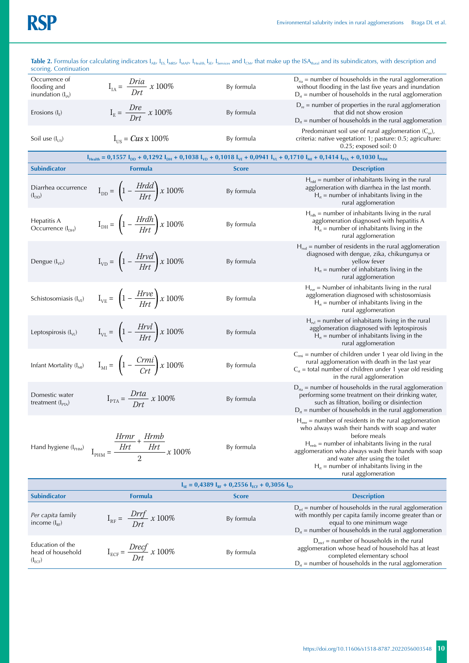# **RSP**

| scoring. Continuation                               |                                                                                                                                                                                                               |              | <b>Table 2.</b> Formulas for calculating indicators I <sub>AB</sub> , I <sub>ES,</sub> I <sub>MRS</sub> , I <sub>MAP</sub> , I <sub>Health,</sub> I <sub>SE</sub> , I <sub>Services</sub> and I <sub>CM</sub> , that make up the ISA <sub>Rural</sub> and its subindicators, with description and                                                                      |  |  |  |  |  |
|-----------------------------------------------------|---------------------------------------------------------------------------------------------------------------------------------------------------------------------------------------------------------------|--------------|------------------------------------------------------------------------------------------------------------------------------------------------------------------------------------------------------------------------------------------------------------------------------------------------------------------------------------------------------------------------|--|--|--|--|--|
| Occurrence of<br>flooding and<br>inundation $(IIA)$ | $I_{IA} = \frac{Dria}{Drt} \times 100\%$                                                                                                                                                                      | By formula   | $D_{\text{ria}}$ = number of households in the rural agglomeration<br>without flooding in the last five years and inundation<br>$D_{rt}$ = number of households in the rural agglomeration                                                                                                                                                                             |  |  |  |  |  |
| Erosions $(I_{E})$                                  | $I_{\rm E} = \frac{Dre}{Drt} \times 100\%$                                                                                                                                                                    | By formula   | $D_{\text{re}}$ = number of properties in the rural agglomeration<br>that did not show erosion<br>$D_{rt}$ = number of households in the rural agglomeration                                                                                                                                                                                                           |  |  |  |  |  |
| Soil use $(I_{HS})$                                 | $I_{HS} = Cus \times 100\%$                                                                                                                                                                                   | By formula   | Predominant soil use of rural agglomeration $(C_{us})$ ,<br>criteria: native vegetation: 1; pasture: 0.5; agriculture:<br>$0.25$ ; exposed soil: 0                                                                                                                                                                                                                     |  |  |  |  |  |
|                                                     | $I_{\text{Health}} = 0.1557 I_{\text{DD}} + 0.1292 I_{\text{DH}} + 0.1038 I_{\text{VD}} + 0.1018 I_{\text{VE}} + 0.0941 I_{\text{VL}} + 0.1710 I_{\text{MI}} + 0.1414 I_{\text{PTA}} + 0.1030 I_{\text{PHM}}$ |              |                                                                                                                                                                                                                                                                                                                                                                        |  |  |  |  |  |
| <b>Subindicator</b>                                 | <b>Formula</b>                                                                                                                                                                                                | <b>Score</b> | <b>Description</b>                                                                                                                                                                                                                                                                                                                                                     |  |  |  |  |  |
| Diarrhea occurrence<br>$(I_{DD})$                   | $I_{DD} = \left(1 - \frac{H r d d}{H r t}\right) x 100\%$                                                                                                                                                     | By formula   | $H_{\text{rdd}}$ = number of inhabitants living in the rural<br>agglomeration with diarrhea in the last month.<br>$H_{rt}$ = number of inhabitants living in the<br>rural agglomeration                                                                                                                                                                                |  |  |  |  |  |
| Hepatitis A<br>Occurrence (I <sub>DH</sub> )        | $I_{\text{DH}} = \left(1 - \frac{Hrdh}{Hrt}\right)x100\%$                                                                                                                                                     | By formula   | $H_{rdh}$ = number of inhabitants living in the rural<br>agglomeration diagnosed with hepatitis A<br>$H_{rt}$ = number of inhabitants living in the<br>rural agglomeration                                                                                                                                                                                             |  |  |  |  |  |
| Dengue $(I_{VD})$                                   | $I_{VD} = \left(1 - \frac{Hrvd}{Hrt}\right)x100\%$                                                                                                                                                            | By formula   | $H_{\text{rvd}}$ = number of residents in the rural agglomeration<br>diagnosed with dengue, zika, chikungunya or<br>yellow fever<br>$H_{rt}$ = number of inhabitants living in the<br>rural agglomeration                                                                                                                                                              |  |  |  |  |  |
| Schistosomiasis (I <sub>VE</sub> )                  | $I_{VE} = \left(1 - \frac{H r v e}{H r t}\right) x 100\%$                                                                                                                                                     | By formula   | $H_{\text{re}}$ = Number of inhabitants living in the rural<br>agglomeration diagnosed with schistosomiasis<br>$H_{rt}$ = number of inhabitants living in the<br>rural agglomeration                                                                                                                                                                                   |  |  |  |  |  |
| Leptospirosis (I <sub>VL</sub> )                    | $I_{VL} = \left(1 - \frac{Hrvl}{Hrt}\right)x100\%$                                                                                                                                                            | By formula   | $H_{\text{rel}}$ = number of inhabitants living in the rural<br>agglomeration diagnosed with leptospirosis<br>$H_{rt}$ = number of inhabitants living in the<br>rural agglomeration                                                                                                                                                                                    |  |  |  |  |  |
| Infant Mortality (I <sub>MI</sub> )                 | $I_{\text{MI}} = \left(1 - \frac{C r m i}{C r t}\right) x 100\%$                                                                                                                                              | By formula   | $C_{\text{rmi}}$ = number of children under 1 year old living in the<br>rural agglomeration with death in the last year<br>$C_{rt}$ = total number of children under 1 year old residing<br>in the rural agglomeration                                                                                                                                                 |  |  |  |  |  |
| Domestic water<br>treatment $(I_{PTA})$             | $I_{\text{PTA}} = \frac{Drta}{Drt} \times 100\%$                                                                                                                                                              | By formula   | $D_{\text{rta}}$ = number of households in the rural agglomeration<br>performing some treatment on their drinking water,<br>such as filtration, boiling or disinfection<br>$D_{\tau}$ = number of households in the rural agglomeration                                                                                                                                |  |  |  |  |  |
|                                                     | Hand hygiene $(I_{\text{PHM}})$ $I_{\text{PHM}} = \frac{\frac{Hrmr}{Hrt} + \frac{Hrmb}{Hrt}}{2} \times 100\%$                                                                                                 | By formula   | $H_{\text{mr}}$ = number of residents in the rural agglomeration<br>who always wash their hands with soap and water<br>before meals<br>$H_{\text{rm}}$ = number of inhabitants living in the rural<br>agglomeration who always wash their hands with soap<br>and water after using the toilet<br>$H_{rt}$ = number of inhabitants living in the<br>rural agglomeration |  |  |  |  |  |
|                                                     | $I_{SE}$ = 0,4389 $I_{RF}$ + 0,2556 $I_{ECF}$ + 0,3056 $I_{ED}$                                                                                                                                               |              |                                                                                                                                                                                                                                                                                                                                                                        |  |  |  |  |  |
| <b>Subindicator</b>                                 | <b>Formula</b>                                                                                                                                                                                                | <b>Score</b> | <b>Description</b>                                                                                                                                                                                                                                                                                                                                                     |  |  |  |  |  |
| Per capita family<br>income $(I_{RF})$              | $I_{RF} = \frac{Drrf}{Drt} x 100\%$                                                                                                                                                                           | By formula   | $D_{\text{ref}}$ = number of households in the rural agglomeration<br>with monthly per capita family income greater than or<br>equal to one minimum wage<br>$D_{rt}$ = number of households in the rural agglomeration                                                                                                                                                 |  |  |  |  |  |

| Education of the<br>head of household<br>$(I_{\text{FCF}})$ | $I_{\text{ECF}} = \frac{Drecf}{Drt}$<br>$\chi$ 100% | By formula | $D_{\text{ref}}$ = number of households in the rural<br>agglomeration whose head of household has at least<br>completed elementary school<br>$D_{\tau}$ = number of households in the rural agglomeration |
|-------------------------------------------------------------|-----------------------------------------------------|------------|-----------------------------------------------------------------------------------------------------------------------------------------------------------------------------------------------------------|
|                                                             |                                                     |            |                                                                                                                                                                                                           |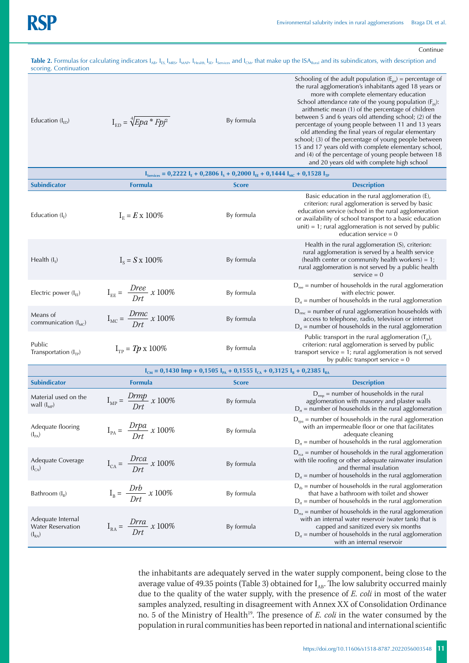Continue

Table 2. Formulas for calculating indicators I<sub>AB</sub>, I<sub>ES,</sub> I<sub>MRS</sub>, I<sub>MAP</sub>, I<sub>Health,</sub> I<sub>SE</sub>, I<sub>Services</sub> and I<sub>CM</sub>, that make up the ISA<sub>Rural</sub> and its subindicators, with description and scoring. Continuation

| Education $(I_{\rm FD})$ | $I_{FD} = \sqrt[4]{Epa * Fp^2}$ | By formula | Schooling of the adult population $(E_{\text{na}})$ = percentage of<br>the rural agglomeration's inhabitants aged 18 years or<br>more with complete elementary education<br>School attendance rate of the young population $(F_{pi})$ :<br>arithmetic mean (1) of the percentage of children<br>between 5 and 6 years old attending school; (2) of the<br>percentage of young people between 11 and 13 years<br>old attending the final years of regular elementary<br>school; (3) of the percentage of young people between<br>15 and 17 years old with complete elementary school,<br>and (4) of the percentage of young people between 18 |
|--------------------------|---------------------------------|------------|----------------------------------------------------------------------------------------------------------------------------------------------------------------------------------------------------------------------------------------------------------------------------------------------------------------------------------------------------------------------------------------------------------------------------------------------------------------------------------------------------------------------------------------------------------------------------------------------------------------------------------------------|
|--------------------------|---------------------------------|------------|----------------------------------------------------------------------------------------------------------------------------------------------------------------------------------------------------------------------------------------------------------------------------------------------------------------------------------------------------------------------------------------------------------------------------------------------------------------------------------------------------------------------------------------------------------------------------------------------------------------------------------------------|

|                                      |                                                                                                     |                                                       | and 20 years old with complete high school                                                                                                                                                                                                                                                                     |  |  |  |
|--------------------------------------|-----------------------------------------------------------------------------------------------------|-------------------------------------------------------|----------------------------------------------------------------------------------------------------------------------------------------------------------------------------------------------------------------------------------------------------------------------------------------------------------------|--|--|--|
|                                      | $I_{\text{Services}} = 0.2222 I_{E} + 0.2806 I_{S} + 0.2000 I_{EE} + 0.1444 I_{MC} + 0.1528 I_{TP}$ |                                                       |                                                                                                                                                                                                                                                                                                                |  |  |  |
| <b>Subindicator</b>                  | <b>Formula</b>                                                                                      | <b>Score</b>                                          | <b>Description</b>                                                                                                                                                                                                                                                                                             |  |  |  |
| Education $(I_F)$                    | $I_{E} = E \times 100\%$                                                                            | By formula                                            | Basic education in the rural agglomeration (E),<br>criterion: rural agglomeration is served by basic<br>education service (school in the rural agglomeration<br>or availability of school transport to a basic education<br>$unit$ = 1; rural agglomeration is not served by public<br>education service = $0$ |  |  |  |
| Health $(I_s)$                       | $I_s = S \times 100\%$                                                                              | By formula                                            | Health in the rural agglomeration (S), criterion:<br>rural agglomeration is served by a health service<br>(health center or community health workers) = $1$ ;<br>rural agglomeration is not served by a public health<br>$service = 0$                                                                         |  |  |  |
| Electric power $(I_{EE})$            | $I_{EE} = \frac{Dree}{Drt} \times 100\%$                                                            | By formula                                            | $D_{\text{ree}}$ = number of households in the rural agglomeration<br>with electric power.<br>$D_{rt}$ = number of households in the rural agglomeration                                                                                                                                                       |  |  |  |
| Means of<br>communication $(I_{MC})$ | $I_{MC} = \frac{Drmc}{Drt} x 100\%$                                                                 | By formula                                            | $D_{\text{mc}}$ = number of rural agglomeration households with<br>access to telephone, radio, television or internet<br>$D_{rt}$ = number of households in the rural agglomeration                                                                                                                            |  |  |  |
| Public<br>Transportation $(I_{TP})$  | $I_{TP} = Tp \times 100\%$                                                                          | By formula                                            | Public transport in the rural agglomeration $(T_p)$ ,<br>criterion: rural agglomeration is served by public<br>transport service $= 1$ ; rural agglomeration is not served<br>by public transport service $= 0$                                                                                                |  |  |  |
|                                      |                                                                                                     | $0.4490$ Less $0.45051$ $0.45551$ $0.03051$ $0.00051$ |                                                                                                                                                                                                                                                                                                                |  |  |  |

| $I_{CM} = 0.1430$ lmp + 0.1505 l <sub>pa</sub> + 0.1555 l <sub>ca</sub> + 0.3125 l <sub>B</sub> + 0.2385 l <sub>RA</sub> |                                            |              |                                                                                                                                                                                                                                                          |  |  |  |
|--------------------------------------------------------------------------------------------------------------------------|--------------------------------------------|--------------|----------------------------------------------------------------------------------------------------------------------------------------------------------------------------------------------------------------------------------------------------------|--|--|--|
| <b>Subindicator</b>                                                                                                      | <b>Formula</b>                             | <b>Score</b> | <b>Description</b>                                                                                                                                                                                                                                       |  |  |  |
| Material used on the<br>wall $(I_{MP})$                                                                                  | $I_{MP} = \frac{Drmp}{Drt} x 100\%$        | By formula   | $D_{\rm rms}$ = number of households in the rural<br>agglomeration with masonry and plaster walls<br>$D_{\tau}$ = number of households in the rural agglomeration                                                                                        |  |  |  |
| Adequate flooring<br>$(I_{PA})$                                                                                          | $I_{PA} = \frac{Drpa}{Drt} \times 100\%$   | By formula   | $D_{\text{rpa}}$ = number of households in the rural agglomeration<br>with an impermeable floor or one that facilitates<br>adequate cleaning<br>$D_{rt}$ = number of households in the rural agglomeration                                               |  |  |  |
| Adequate Coverage<br>$(I_{CA})$                                                                                          | $I_{CA} = \frac{Drca}{Drt} \times 100\%$   | By formula   | $D_{\text{rea}}$ = number of households in the rural agglomeration<br>with tile roofing or other adequate rainwater insulation<br>and thermal insulation<br>$D_{\text{rt}}$ = number of households in the rural agglomeration                            |  |  |  |
| Bathroom $(I_{R})$                                                                                                       | $I_{\rm B} = \frac{Drb}{Drt} \times 100\%$ | By formula   | $D_{rb}$ = number of households in the rural agglomeration<br>that have a bathroom with toilet and shower<br>$D_{\text{rt}}$ = number of households in the rural agglomeration                                                                           |  |  |  |
| Adequate Internal<br><b>Water Reservation</b><br>$(I_{RA})$                                                              | $I_{RA} = \frac{Drra}{Drt} \times 100\%$   | By formula   | $D_{ra}$ = number of households in the rural agglomeration<br>with an internal water reservoir (water tank) that is<br>capped and sanitized every six months<br>$D_{rt}$ = number of households in the rural agglomeration<br>with an internal reservoir |  |  |  |

the inhabitants are adequately served in the water supply component, being close to the average value of 49.35 points (Table 3) obtained for  $I_{AB}$ . The low salubrity occurred mainly due to the quality of the water supply, with the presence of *E. coli* in most of the water samples analyzed, resulting in disagreement with Annex XX of Consolidation Ordinance no. 5 of the Ministry of Health<sup>19</sup>. The presence of *E. coli* in the water consumed by the population in rural communities has been reported in national and international scientific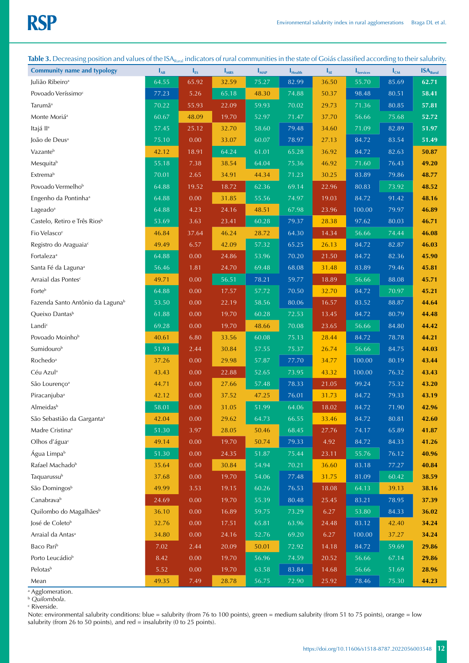| $\frac{1}{2}$                                |                   | "Kural   |           |                    |                     |          |                                | o        |                      |
|----------------------------------------------|-------------------|----------|-----------|--------------------|---------------------|----------|--------------------------------|----------|----------------------|
| <b>Community name and typology</b>           | $\mathbf{I}_{AB}$ | $I_{ES}$ | $I_{MRS}$ | $\mathbf{I}_{MAP}$ | $I_{\text{Health}}$ | $I_{SE}$ | $\mathbf{I}_{\text{Services}}$ | $I_{CM}$ | ISA <sub>Runal</sub> |
| Julião Ribeiro <sup>a</sup>                  | 64.55             | 65.92    | 32.59     | 75.27              | 82.99               | 36.50    | 55.70                          | 85.69    | 62.71                |
| Povoado Veríssimo <sup>c</sup>               | 77.23             | 5.26     | 65.18     | 48.30              | 74.88               | 50.37    | 98.48                          | 80.51    | 58.41                |
| Tarumã <sup>a</sup>                          | 70.22             | 55.93    | 22.09     | 59.93              | 70.02               | 29.73    | 71.36                          | 80.85    | 57.81                |
| Monte Moriá <sup>a</sup>                     | 60.67             | 48.09    | 19.70     | 52.97              | 71.47               | 37.70    | 56.66                          | 75.68    | 52.72                |
| Itajá II <sup>a</sup>                        | 57.45             | 25.12    | 32.70     | 58.60              | 79.48               | 34.60    | 71.09                          | 82.89    | 51.97                |
| João de Deus <sup>a</sup>                    | 75.10             | 0.00     | 33.07     | 60.07              | 78.97               | 27.13    | 84.72                          | 83.54    | 51.49                |
| Vazanteb                                     | 42.12             | 18.91    | 64.24     | 61.01              | 65.28               | 36.92    | 84.72                          | 82.63    | 50.87                |
| Mesquitab                                    | 55.18             | 7.38     | 38.54     | 64.04              | 75.36               | 46.92    | 71.60                          | 76.43    | 49.20                |
| Extremab                                     | 70.01             | 2.65     | 34.91     | 44.34              | 71.23               | 30.25    | 83.89                          | 79.86    | 48.77                |
| Povoado Vermelho <sup>b</sup>                | 64.88             | 19.52    | 18.72     | 62.36              | 69.14               | 22.96    | 80.83                          | 73.92    | 48.52                |
| Engenho da Pontinha <sup>a</sup>             | 64.88             | 0.00     | 31.85     | 55.56              | 74.97               | 19.03    | 84.72                          | 91.42    | 48.16                |
| Lageado <sup>a</sup>                         | 64.88             | 4.23     | 24.16     | 48.51              | 67.98               | 23.96    | 100.00                         | 79.97    | 46.89                |
| Castelo, Retiro e Três Rios <sup>b</sup>     | 53.69             | 3.63     | 23.41     | 60.28              | 79.37               | 28.38    | 97.62                          | 80.03    | 46.71                |
| Fio Velasco <sup>c</sup>                     | 46.84             | 37.64    | 46.24     | 28.72              | 64.30               | 14.34    | 56.66                          | 74.44    | 46.08                |
| Registro do Araguaia <sup>c</sup>            | 49.49             | 6.57     | 42.09     | 57.32              | 65.25               | 26.13    | 84.72                          | 82.87    | 46.03                |
| Fortaleza <sup>a</sup>                       | 64.88             | 0.00     | 24.86     | 53.96              | 70.20               | 21.50    | 84.72                          | 82.36    | 45.90                |
| Santa Fé da Laguna <sup>a</sup>              | 56.46             | 1.81     | 24.70     | 69.48              | 68.08               | 31.48    | 83.89                          | 79.46    | 45.81                |
| Arraial das Pontes <sup>c</sup>              | 49.71             | 0.00     | 56.51     | 78.21              | 59.77               | 18.89    | 56.66                          | 88.08    | 45.71                |
| Forteb                                       | 64.88             | 0.00     | 17.57     | 57.72              | 70.50               | 32.70    | 84.72                          | 70.97    | 45.21                |
| Fazenda Santo Antônio da Laguna <sup>b</sup> | 53.50             | 0.00     | 22.19     | 58.56              | 80.06               | 16.57    | 83.52                          | 88.87    | 44.64                |
| Queixo Dantas <sup>b</sup>                   | 61.88             | 0.00     | 19.70     | 60.28              | 72.53               | 13.45    | 84.72                          | 80.79    | 44.48                |
| Landic                                       | 69.28             | 0.00     | 19.70     | 48.66              | 70.08               | 23.65    | 56.66                          | 84.80    | 44.42                |
| Povoado Moinho <sup>b</sup>                  | 40.61             | 6.80     | 33.56     | 60.08              | 75.13               | 28.44    | 84.72                          | 78.78    | 44.21                |
| Sumidourob                                   | 51.93             | 2.44     | 30.84     | 57.55              | 75.37               | 26.74    | 56.66                          | 84.75    | 44.03                |
| Rochedo <sup>a</sup>                         | 37.26             | 0.00     | 29.98     | 57.87              | 77.70               | 34.77    | 100.00                         | 80.19    | 43.44                |
| Céu Azul <sup>a</sup>                        | 43.43             | 0.00     | 22.88     | 52.65              | 73.95               | 43.32    | 100.00                         | 76.32    | 43.43                |
| São Lourenço <sup>a</sup>                    | 44.71             | 0.00     | 27.66     | 57.48              | 78.33               | 21.05    | 99.24                          | 75.32    | 43.20                |
| Piracanjuba <sup>a</sup>                     | 42.12             | 0.00     | 37.52     | 47.25              | 76.01               | 31.73    | 84.72                          | 79.33    | 43.19                |
| Almeidas <sup>b</sup>                        | 58.01             | 0.00     | 31.05     | 51.99              | 64.06               | 18.02    | 84.72                          | 71.90    | 42.96                |
| São Sebastião da Garganta <sup>a</sup>       | 42.04             | 0.00     | 29.62     | 64.73              | 66.55               | 33.46    | 84.72                          | 80.81    | 42.60                |
| Madre Cristina <sup>a</sup>                  | 51.30             | 3.97     | 28.05     | 50.46              | 68.45               | 27.76    | 74.17                          | 65.89    | 41.87                |
| Olhos d'água <sup>c</sup>                    | 49.14             | 0.00     | 19.70     | 50.74              | 79.33               | 4.92     | 84.72                          | 84.33    | 41.26                |
| Água Limpa <sup>b</sup>                      | 51.30             | $0.00\,$ | 24.35     | 51.87              | 75.44               | 23.11    | 55.76                          | 76.12    | 40.96                |
| Rafael Machado <sup>b</sup>                  | 35.64             | 0.00     | 30.84     | 54.94              | 70.21               | 36.60    | 83.18                          | 77.27    | 40.84                |
| Taquarussub                                  | 37.68             | 0.00     | 19.70     | 54.06              | 77.48               | 31.75    | 81.09                          | 60.42    | 38.59                |
| São Domingos <sup>b</sup>                    | 49.99             | 3.53     | 19.15     | 60.26              | 76.53               | 18.08    | 64.13                          | 39.13    | 38.16                |
| Canabravab                                   | 24.69             | 0.00     | 19.70     | 55.39              | 80.48               | 25.45    | 83.21                          | 78.95    | 37.39                |
| Quilombo do Magalhães <sup>b</sup>           | 36.10             | 0.00     | 16.89     | 59.75              | 73.29               | 6.27     | 53.80                          | 84.33    | 36.02                |
| José de Coleto <sup>b</sup>                  | 32.76             | 0.00     | 17.51     | 65.81              | 63.96               | 24.48    | 83.12                          | 42.40    | 34.24                |
| Arraial da Antas <sup>a</sup>                | 34.80             | 0.00     | 24.16     | 52.76              | 69.20               | 6.27     | 100.00                         | 37.27    | 34.24                |
| Baco Pari <sup>b</sup>                       | 7.02              | 2.44     | 20.09     | 50.01              | 72.92               | 14.18    | 84.72                          | 59.69    | 29.86                |
| Porto Leucádio <sup>b</sup>                  | 8.42              | 0.00     | 19.70     | 56.96              | 74.59               | 20.52    | 56.66                          | 67.14    | 29.86                |
| Pelotas <sup>b</sup>                         | 5.52              | 0.00     | 19.70     | 63.58              | 83.84               | 14.68    | 56.66                          | 51.69    | 28.96                |
| Mean                                         | 49.35             | 7.49     | 28.78     | 56.75              | 72.90               | 25.92    | 78.46                          | 75.30    | 44.23                |

Table 3. Decreasing position and values of the ISA<sub>Rural</sub> indicators of rural communities in the state of Goiás classified according to their salubrity.

a Agglomeration. <sup>b</sup> *Quilombola*.

c Riverside.

Note: environmental salubrity conditions: blue = salubrity (from 76 to 100 points), green = medium salubrity (from 51 to 75 points), orange = low salubrity (from 26 to 50 points), and red = insalubrity (0 to 25 points).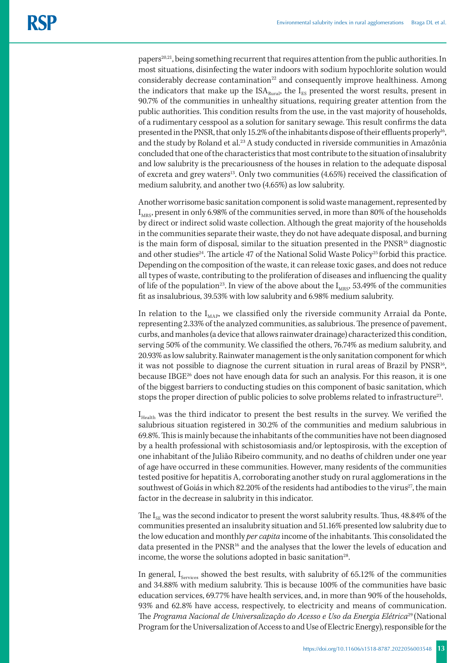papers20,21, being something recurrent that requires attention from the public authorities. In most situations, disinfecting the water indoors with sodium hypochlorite solution would considerably decrease contamination<sup>22</sup> and consequently improve healthiness. Among the indicators that make up the  $ISA<sub>Rural</sub>$ , the  $I<sub>ES</sub>$  presented the worst results, present in 90.7% of the communities in unhealthy situations, requiring greater attention from the public authorities. This condition results from the use, in the vast majority of households, of a rudimentary cesspool as a solution for sanitary sewage. This result confirms the data presented in the PNSR, that only 15.2% of the inhabitants dispose of their effluents properly<sup>16</sup>, and the study by Roland et al.23 A study conducted in riverside communities in Amazônia concluded that one of the characteristics that most contribute to the situation of insalubrity and low salubrity is the precariousness of the houses in relation to the adequate disposal of excreta and grey waters<sup>13</sup>. Only two communities (4.65%) received the classification of medium salubrity, and another two (4.65%) as low salubrity.

Another worrisome basic sanitation component is solid waste management, represented by  $I_{MRS}$ , present in only 6.98% of the communities served, in more than 80% of the households by direct or indirect solid waste collection. Although the great majority of the households in the communities separate their waste, they do not have adequate disposal, and burning is the main form of disposal, similar to the situation presented in the  $PNSR<sup>16</sup>$  diagnostic and other studies<sup>24</sup>. The article 47 of the National Solid Waste Policy<sup>25</sup> forbid this practice. Depending on the composition of the waste, it can release toxic gases, and does not reduce all types of waste, contributing to the proliferation of diseases and influencing the quality of life of the population<sup>23</sup>. In view of the above about the  $I_{MRS}$ , 53.49% of the communities fit as insalubrious, 39.53% with low salubrity and 6.98% medium salubrity.

In relation to the  $I_{MAP}$ , we classified only the riverside community Arraial da Ponte, representing 2.33% of the analyzed communities, as salubrious. The presence of pavement, curbs, and manholes (a device that allows rainwater drainage) characterized this condition, serving 50% of the community. We classified the others, 76.74% as medium salubrity, and 20.93% as low salubrity. Rainwater management is the only sanitation component for which it was not possible to diagnose the current situation in rural areas of Brazil by PNSR<sup>16</sup>, because IBGE26 does not have enough data for such an analysis. For this reason, it is one of the biggest barriers to conducting studies on this component of basic sanitation, which stops the proper direction of public policies to solve problems related to infrastructure<sup>23</sup>.

I<sub>Health</sub> was the third indicator to present the best results in the survey. We verified the salubrious situation registered in 30.2% of the communities and medium salubrious in 69.8%. This is mainly because the inhabitants of the communities have not been diagnosed by a health professional with schistosomiasis and/or leptospirosis, with the exception of one inhabitant of the Julião Ribeiro community, and no deaths of children under one year of age have occurred in these communities. However, many residents of the communities tested positive for hepatitis A, corroborating another study on rural agglomerations in the southwest of Goiás in which  $82.20\%$  of the residents had antibodies to the virus<sup>27</sup>, the main factor in the decrease in salubrity in this indicator.

The  $I_{SE}$  was the second indicator to present the worst salubrity results. Thus, 48.84% of the communities presented an insalubrity situation and 51.16% presented low salubrity due to the low education and monthly *per capita* income of the inhabitants. This consolidated the data presented in the PNSR<sup>16</sup> and the analyses that the lower the levels of education and income, the worse the solutions adopted in basic sanitation<sup>28</sup>.

In general,  $I_{\text{Serves}}$  showed the best results, with salubrity of 65.12% of the communities and 34.88% with medium salubrity. This is because 100% of the communities have basic education services, 69.77% have health services, and, in more than 90% of the households, 93% and 62.8% have access, respectively, to electricity and means of communication. The *Programa Nacional de Universalização do Acesso e Uso da Energia Elétrica*29 (National Program for the Universalization of Access to and Use of Electric Energy), responsible for the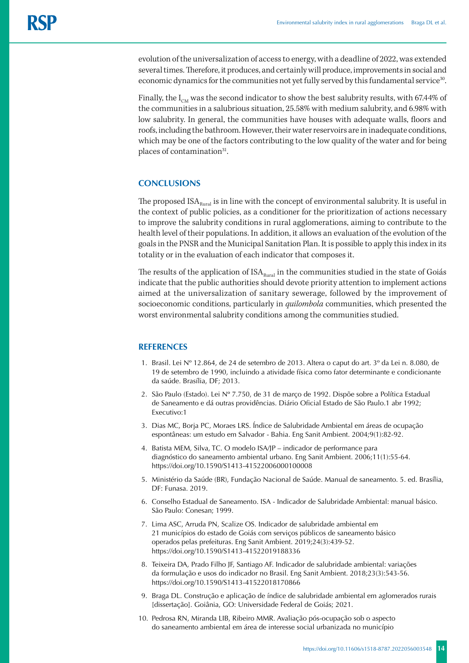evolution of the universalization of access to energy, with a deadline of 2022, was extended several times. Therefore, it produces, and certainly will produce, improvements in social and economic dynamics for the communities not yet fully served by this fundamental service<sup>30</sup>.

Finally, the  $I_{CM}$  was the second indicator to show the best salubrity results, with 67.44% of the communities in a salubrious situation, 25.58% with medium salubrity, and 6.98% with low salubrity. In general, the communities have houses with adequate walls, floors and roofs, including the bathroom. However, their water reservoirs are in inadequate conditions, which may be one of the factors contributing to the low quality of the water and for being places of contamination<sup>31</sup>.

### **CONCLUSIONS**

The proposed  $ISA<sub>Runal</sub>$  is in line with the concept of environmental salubrity. It is useful in the context of public policies, as a conditioner for the prioritization of actions necessary to improve the salubrity conditions in rural agglomerations, aiming to contribute to the health level of their populations. In addition, it allows an evaluation of the evolution of the goals in the PNSR and the Municipal Sanitation Plan. It is possible to apply this index in its totality or in the evaluation of each indicator that composes it.

The results of the application of  $ISA<sub>Rural</sub>$  in the communities studied in the state of Goiás indicate that the public authorities should devote priority attention to implement actions aimed at the universalization of sanitary sewerage, followed by the improvement of socioeconomic conditions, particularly in *quilombola* communities, which presented the worst environmental salubrity conditions among the communities studied.

### **REFERENCES**

- 1. Brasil. Lei Nº 12.864, de 24 de setembro de 2013. Altera o caput do art. 3º da Lei n. 8.080, de 19 de setembro de 1990, incluindo a atividade física como fator determinante e condicionante da saúde. Brasília, DF; 2013.
- 2. São Paulo (Estado). Lei Nº 7.750, de 31 de março de 1992. Dispõe sobre a Política Estadual de Saneamento e dá outras providências. Diário Oficial Estado de São Paulo.1 abr 1992; Executivo:1
- 3. Dias MC, Borja PC, Moraes LRS. Índice de Salubridade Ambiental em áreas de ocupação espontâneas: um estudo em Salvador - Bahia. Eng Sanit Ambient. 2004;9(1):82-92.
- 4. Batista MEM, Silva, TC. O modelo ISA/JP indicador de performance para diagnóstico do saneamento ambiental urbano. Eng Sanit Ambient. 2006;11(1):55-64. https://doi.org/10.1590/S1413-41522006000100008
- 5. Ministério da Saúde (BR), Fundação Nacional de Saúde. Manual de saneamento. 5. ed. Brasília, DF: Funasa. 2019.
- 6. Conselho Estadual de Saneamento. ISA Indicador de Salubridade Ambiental: manual básico. São Paulo: Conesan; 1999.
- 7. Lima ASC, Arruda PN, Scalize OS. Indicador de salubridade ambiental em 21 municípios do estado de Goiás com serviços públicos de saneamento básico operados pelas prefeituras. Eng Sanit Ambient. 2019;24(3):439-52. https://doi.org/10.1590/S1413-41522019188336
- 8. Teixeira DA, Prado Filho JF, Santiago AF. Indicador de salubridade ambiental: variações da formulação e usos do indicador no Brasil. Eng Sanit Ambient. 2018;23(3):543-56. https://doi.org/10.1590/S1413-41522018170866
- 9. Braga DL. Construção e aplicação de índice de salubridade ambiental em aglomerados rurais [dissertação]. Goiânia, GO: Universidade Federal de Goiás; 2021.
- 10. Pedrosa RN, Miranda LIB, Ribeiro MMR. Avaliação pós-ocupação sob o aspecto do saneamento ambiental em área de interesse social urbanizada no município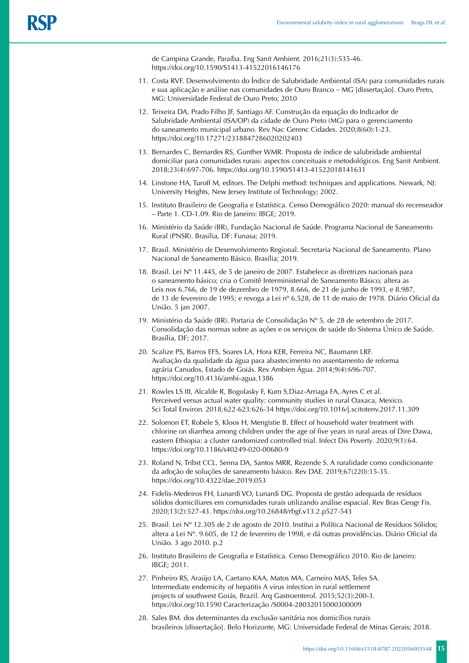de Campina Grande, Paraíba. Eng Sanit Ambient*.* 2016;21(3):535-46. https://doi.org/10.1590/S1413-41522016146176

- 11. Costa RVF. Desenvolvimento do Índice de Salubridade Ambiental (ISA) para comunidades rurais e sua aplicação e análise nas comunidades de Ouro Branco *–* MG [dissertação]. Ouro Preto, MG: Universidade Federal de Ouro Preto; 2010
- 12. Teixeira DA, Prado Filho JF, Santiago AF. Construção da equação do Indicador de Salubridade Ambiental (ISA/OP) da cidade de Ouro Preto (MG) para o gerenciamento do saneamento municipal urbano. Rev Nac Gerenc Cidades. 2020;8(60):1-23. https://doi.org/10.17271/2318847286020202403
- 13. Bernardes C, Bernardes RS, Gunther WMR. Proposta de índice de salubridade ambiental domiciliar para comunidades rurais: aspectos conceituais e metodológicos. Eng Sanit Ambient. 2018;23(4):697-706. https://doi.org/10.1590/S1413-41522018141631
- 14. Linstone HA, Turoff M, editors. The Delphi method: techniques and applications. Newark, NJ: University Heights, New Jersey Institute of Technology; 2002.
- 15. Instituto Brasileiro de Geografia e Estatística. Censo Demográfico 2020: manual do recenseador – Parte 1. CD-1.09*.* Rio de Janeiro: IBGE; 2019.
- 16. Ministério da Saúde (BR), Fundação Nacional de Saúde. Programa Nacional de Saneamento Rural (PNSR). Brasília, DF: Funasa; 2019.
- 17. Brasil. Ministério de Desenvolvimento Regional. Secretaria Nacional de Saneamento. Plano Nacional de Saneamento Básico. Brasília; 2019.
- 18. Brasil. Lei Nº 11.445, de 5 de janeiro de 2007. Estabelece as diretrizes nacionais para o saneamento básico; cria o Comitê Interministerial de Saneamento Básico; altera as Leis nos 6.766, de 19 de dezembro de 1979, 8.666, de 21 de junho de 1993, e 8.987, de 13 de fevereiro de 1995; e revoga a Lei nº 6.528, de 11 de maio de 1978. Diário Oficial da União. 5 jan 2007.
- 19. Ministério da Saúde (BR). Portaria de Consolidação Nº 5, de 28 de setembro de 201*7*. Consolidação das normas sobre as ações e os serviços de saúde do Sistema Único de Saúde. Brasília, DF; 2017.
- 20. Scalize PS, Barros EFS, Soares LA, Hora KER, Ferreira NC, Baumann LRF. Avaliação da qualidade da água para abastecimento no assentamento de reforma agrária Canudos, Estado de Goiás. Rev Ambien Água. 2014;9(4):696-707. https://doi.org/10.4136/ambi-agua.1386
- 21. Rowles LS III, Alcalde R, Bogolasky F, Kum S,Diaz-Arriaga FA, Ayres C et al. Perceived versus actual water quality: community studies in rural Oaxaca, Mexico. Sci Total Environ*.* 2018*;*622-623:626-34 https://doi.org/10.1016/j.scitotenv.2017.11.309
- 22. Solomon ET, Robele S, Kloos H, Mengistie B. Effect of household water treatment with chlorine on diarrhea among children under the age of five years in rural areas of Dire Dawa, eastern Ethiopia: a cluster randomized controlled trial. Infect Dis Poverty*.* 2020;9(1):64. https://doi.org/10.1186/s40249-020-00680-9
- 23. Roland N, Tribst CCL, Senna DA, Santos MRR, Rezende S. A ruralidade como condicionante da adoção de soluções de saneamento básico. Rev DAE. 2019;67(220):15-35. https://doi.org/10.4322/dae.2019.053
- 24. Fidelis-Medeiros FH, Lunardi VO, Lunardi DG. Proposta de gestão adequada de resíduos sólidos domiciliares em comunidades rurais utilizando análise espacial. Rev Bras Geogr Fis. 2020;13(2):527-43. https://doi.org/10.26848/rbgf.v13.2.p527-543
- 25. Brasil. Lei Nº 12.305 de 2 de agosto de 2010. Institui a Política Nacional de Resíduos Sólidos; altera a Lei Nº. 9.605, de 12 de fevereiro de 1998, e dá outras providências. Diário Oficial da União. 3 ago 2010. p.2
- 26. Instituto Brasileiro de Geografia e Estatística. Censo Demográfico 2010. Rio de Janeiro: IBGE; 2011.
- 27. Pinheiro RS, Araújo LA, Caetano KAA, Matos MA, Carneiro MAS, Teles SA. Intermediate endemicity of hepatitis A virus infection in rural settlement projects of southwest Goiás, Brazil. Arq Gastroenterol. 2015;52(3):200-3. https://doi.org/10.1590 Caracterização /S0004-28032015000300009
- 28. Sales BM. dos determinantes da exclusão sanitária nos domicílios rurais brasileiros [dissertação]. Belo Horizonte, MG: Universidade Federal de Minas Gerais; 2018.